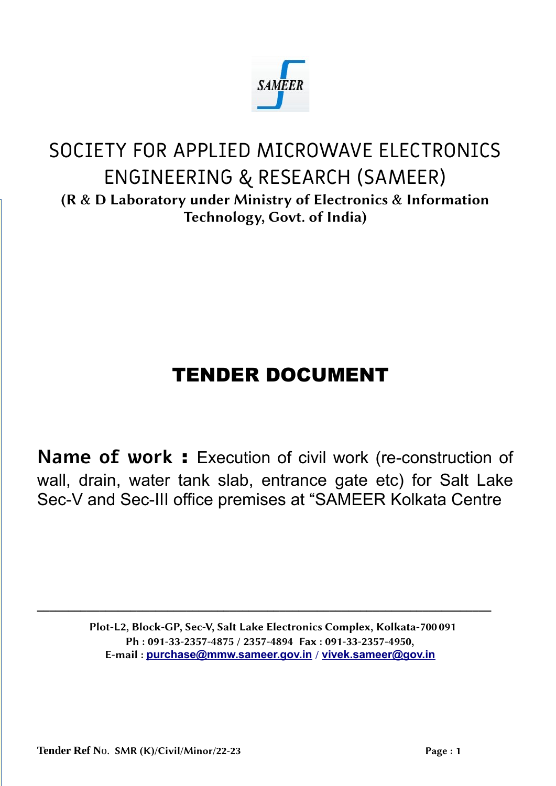

# SOCIETY FOR APPLIED MICROWAVE ELECTRONICS ENGINEERING & RESEARCH (SAMEER) (R & D Laboratory under Ministry of Electronics & Information Technology, Govt. of India)

# TENDER DOCUMENT

**Name of work** : Execution of civil work (re-construction of wall, drain, water tank slab, entrance gate etc) for Salt Lake Sec-V and Sec-III office premises at "SAMEER Kolkata Centre

> Plot-L2, Block-GP, Sec-V, Salt Lake Electronics Complex, Kolkata-700091 Ph : 091-33-2357-4875 / 2357-4894 Fax : 091-33-2357-4950, E-mail : **purchase@mmw.sameer.gov.in** / **vivek.sameer@gov.in**

**\_\_\_\_\_\_\_\_\_\_\_\_\_\_\_\_\_\_\_\_\_\_\_\_\_\_\_\_\_\_\_\_\_\_\_\_\_\_\_\_\_\_\_\_\_\_\_\_\_\_\_\_\_\_\_\_\_\_\_\_\_\_\_\_\_\_\_\_\_\_\_\_\_**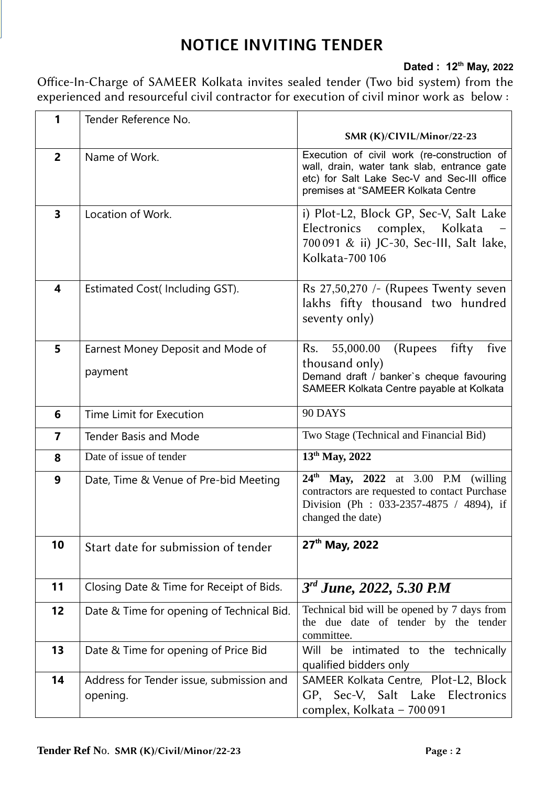# **NOTICE INVITING TENDER**

### **Dated : 12th May, 2022**

Office-In-Charge of SAMEER Kolkata invites sealed tender (Two bid system) from the experienced and resourceful civil contractor for execution of civil minor work as below :

| 1                       | Tender Reference No.                                 |                                                                                                                                                                                 |
|-------------------------|------------------------------------------------------|---------------------------------------------------------------------------------------------------------------------------------------------------------------------------------|
|                         |                                                      | SMR (K)/CIVIL/Minor/22-23                                                                                                                                                       |
| $\overline{2}$          | Name of Work.                                        | Execution of civil work (re-construction of<br>wall, drain, water tank slab, entrance gate<br>etc) for Salt Lake Sec-V and Sec-III office<br>premises at "SAMEER Kolkata Centre |
| $\overline{\mathbf{3}}$ | Location of Work.                                    | i) Plot-L2, Block GP, Sec-V, Salt Lake<br>Electronics complex, Kolkata<br>700 091 & ii) JC-30, Sec-III, Salt lake,<br>Kolkata-700 106                                           |
| $\overline{\mathbf{4}}$ | Estimated Cost(Including GST).                       | Rs 27,50,270 /- (Rupees Twenty seven<br>lakhs fifty thousand two hundred<br>seventy only)                                                                                       |
| 5                       | Earnest Money Deposit and Mode of<br>payment         | fifty<br>55,000.00<br>(Rupees)<br>five<br>Rs.<br>thousand only)<br>Demand draft / banker's cheque favouring<br>SAMEER Kolkata Centre payable at Kolkata                         |
| 6                       | Time Limit for Execution                             | 90 DAYS                                                                                                                                                                         |
| $\overline{7}$          | <b>Tender Basis and Mode</b>                         | Two Stage (Technical and Financial Bid)                                                                                                                                         |
| 8                       | Date of issue of tender                              | 13 <sup>th</sup> May, 2022                                                                                                                                                      |
| 9                       | Date, Time & Venue of Pre-bid Meeting                | 24 <sup>th</sup> May, 2022 at 3.00 P.M (willing<br>contractors are requested to contact Purchase<br>Division (Ph : 033-2357-4875 / 4894), if<br>changed the date)               |
| 10                      | Start date for submission of tender                  | 27 <sup>th</sup> May, 2022                                                                                                                                                      |
| 11                      | Closing Date & Time for Receipt of Bids.             | $3rd$ June, 2022, 5.30 P.M                                                                                                                                                      |
| 12                      | Date & Time for opening of Technical Bid.            | Technical bid will be opened by 7 days from<br>the due date of tender by the tender<br>committee.                                                                               |
| 13                      | Date & Time for opening of Price Bid                 | Will be intimated to the technically<br>qualified bidders only                                                                                                                  |
| 14                      | Address for Tender issue, submission and<br>opening. | SAMEER Kolkata Centre, Plot-L2, Block<br>GP, Sec-V, Salt Lake Electronics<br>complex, Kolkata - 700 091                                                                         |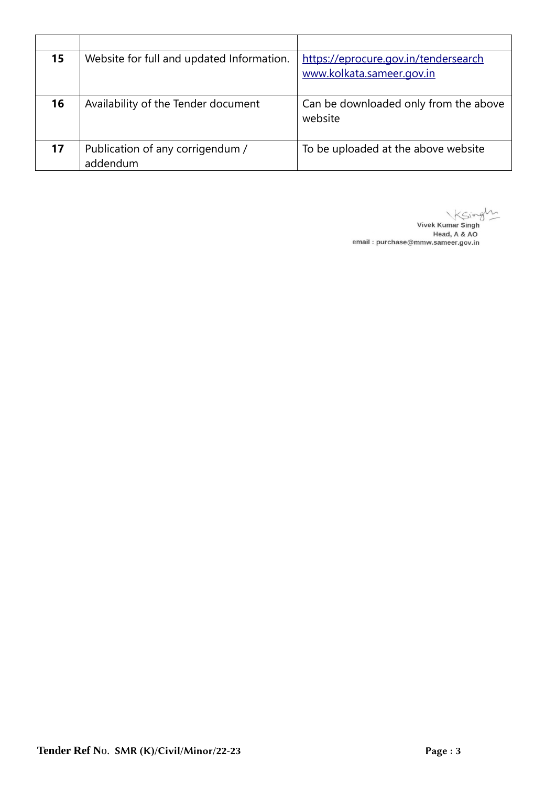| 15 | Website for full and updated Information.    | https://eprocure.gov.in/tendersearch<br>www.kolkata.sameer.gov.in |
|----|----------------------------------------------|-------------------------------------------------------------------|
| 16 | Availability of the Tender document          | Can be downloaded only from the above<br>website                  |
| 17 | Publication of any corrigendum /<br>addendum | To be uploaded at the above website                               |

Vivek Kumar Singley Head, A & AO<br>Head, A & AO<br>email : purchase@mmw.sameer.gov.in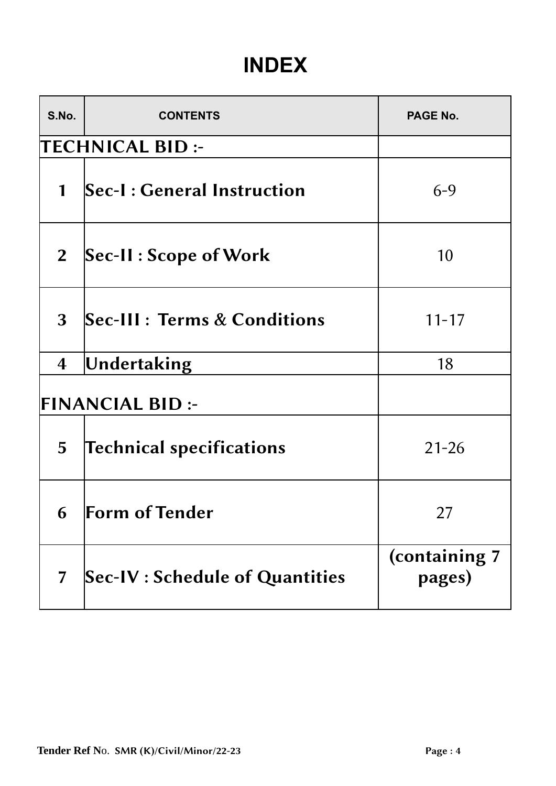# **INDEX**

| S.No.                   | <b>CONTENTS</b>                       | PAGE No.                |  |  |  |  |  |
|-------------------------|---------------------------------------|-------------------------|--|--|--|--|--|
|                         | <b>TECHNICAL BID:-</b>                |                         |  |  |  |  |  |
| $\mathbf{1}$            | Sec-I: General Instruction            | $6 - 9$                 |  |  |  |  |  |
| 2 <sup>1</sup>          | Sec-II : Scope of Work                | 10                      |  |  |  |  |  |
| 3                       | Sec-III : Terms & Conditions          | $11 - 17$               |  |  |  |  |  |
| $\overline{\mathbf{4}}$ | Undertaking                           | 18                      |  |  |  |  |  |
|                         | <b>FINANCIAL BID:-</b>                |                         |  |  |  |  |  |
| 5                       | <b>Technical specifications</b>       | $21 - 26$               |  |  |  |  |  |
|                         | 6 Form of Tender                      | 27                      |  |  |  |  |  |
| $\overline{7}$          | <b>Sec-IV: Schedule of Quantities</b> | (containing 7<br>pages) |  |  |  |  |  |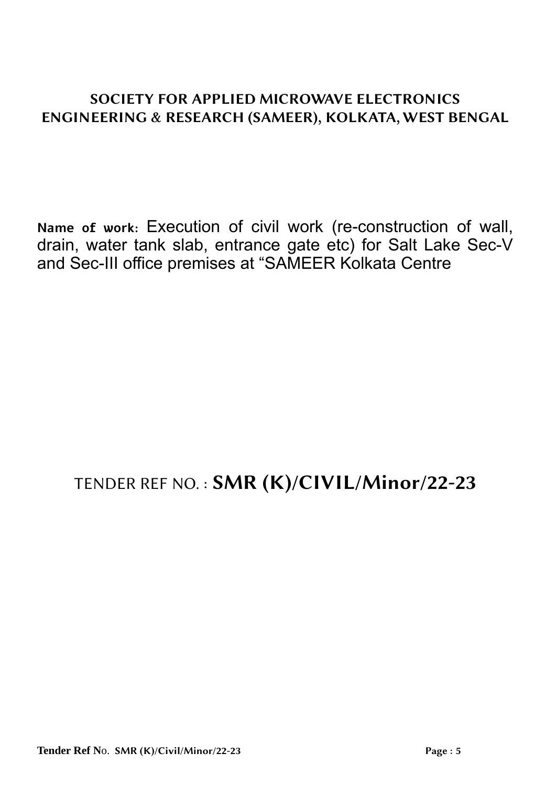## SOCIETY FOR APPLIED MICROWAVE ELECTRONICS ENGINEERING & RESEARCH (SAMEER), KOLKATA, WEST BENGAL

**Name of work:** Execution of civil work (re-construction of wall, drain, water tank slab, entrance gate etc) for Salt Lake Sec-V and Sec-III office premises at "SAMEER Kolkata Centre

# TENDER REF NO. : SMR (K)/CIVIL/Minor/22-23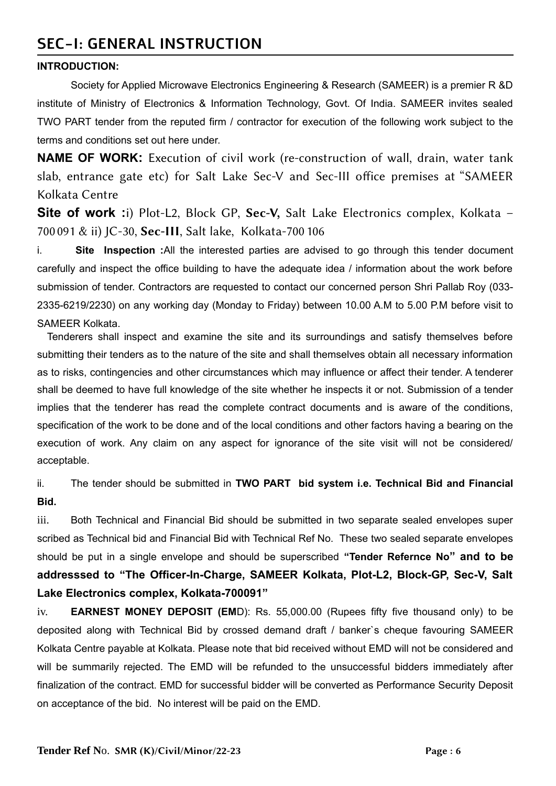## **SEC-I: GENERAL INSTRUCTION**

#### **INTRODUCTION:**

Society for Applied Microwave Electronics Engineering & Research (SAMEER) is a premier R &D institute of Ministry of Electronics & Information Technology, Govt. Of India. SAMEER invites sealed TWO PART tender from the reputed firm / contractor for execution of the following work subject to the terms and conditions set out here under.

**NAME OF WORK:** Execution of civil work (re-construction of wall, drain, water tank slab, entrance gate etc) for Salt Lake Sec-V and Sec-III office premises at "SAMEER Kolkata Centre

**Site of work :**i) Plot-L2, Block GP, Sec-V, Salt Lake Electronics complex, Kolkata – 700091 & ii) JC-30, Sec-III, Salt lake, Kolkata-700106

i. **Site Inspection :**All the interested parties are advised to go through this tender document carefully and inspect the office building to have the adequate idea / information about the work before submission of tender. Contractors are requested to contact our concerned person Shri Pallab Roy (033- 2335-6219/2230) on any working day (Monday to Friday) between 10.00 A.M to 5.00 P.M before visit to SAMEER Kolkata.

 Tenderers shall inspect and examine the site and its surroundings and satisfy themselves before submitting their tenders as to the nature of the site and shall themselves obtain all necessary information as to risks, contingencies and other circumstances which may influence or affect their tender. A tenderer shall be deemed to have full knowledge of the site whether he inspects it or not. Submission of a tender implies that the tenderer has read the complete contract documents and is aware of the conditions, specification of the work to be done and of the local conditions and other factors having a bearing on the execution of work. Any claim on any aspect for ignorance of the site visit will not be considered/ acceptable.

ii. The tender should be submitted in **TWO PART bid system i.e. Technical Bid and Financial Bid.**

iii. Both Technical and Financial Bid should be submitted in two separate sealed envelopes super scribed as Technical bid and Financial Bid with Technical Ref No. These two sealed separate envelopes should be put in a single envelope and should be superscribed **"Tender Refernce No" and to be addresssed to "The Officer-In-Charge, SAMEER Kolkata, Plot-L2, Block-GP, Sec-V, Salt Lake Electronics complex, Kolkata-700091"**

iv. **EARNEST MONEY DEPOSIT (EM**D): Rs. 55,000.00 (Rupees fifty five thousand only) to be deposited along with Technical Bid by crossed demand draft / banker`s cheque favouring SAMEER Kolkata Centre payable at Kolkata. Please note that bid received without EMD will not be considered and will be summarily rejected. The EMD will be refunded to the unsuccessful bidders immediately after finalization of the contract. EMD for successful bidder will be converted as Performance Security Deposit on acceptance of the bid. No interest will be paid on the EMD.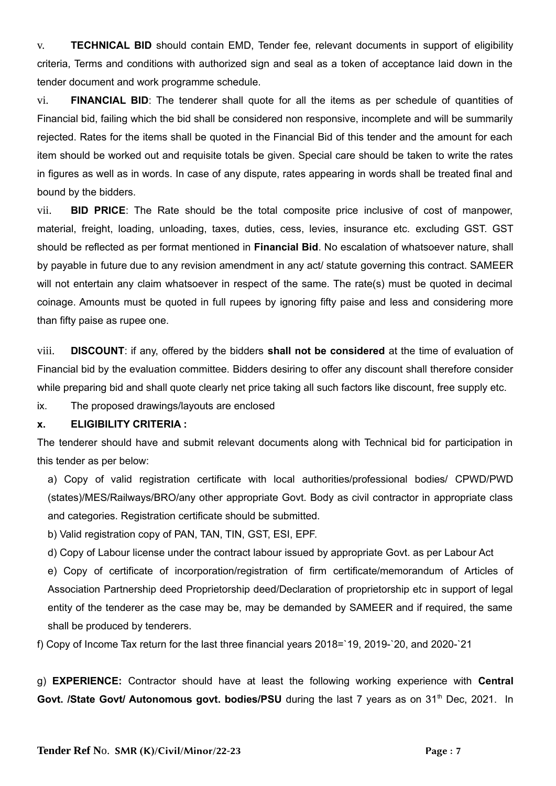v. **TECHNICAL BID** should contain EMD, Tender fee, relevant documents in support of eligibility criteria, Terms and conditions with authorized sign and seal as a token of acceptance laid down in the tender document and work programme schedule.

vi. **FINANCIAL BID**: The tenderer shall quote for all the items as per schedule of quantities of Financial bid, failing which the bid shall be considered non responsive, incomplete and will be summarily rejected. Rates for the items shall be quoted in the Financial Bid of this tender and the amount for each item should be worked out and requisite totals be given. Special care should be taken to write the rates in figures as well as in words. In case of any dispute, rates appearing in words shall be treated final and bound by the bidders.

vii. **BID PRICE**: The Rate should be the total composite price inclusive of cost of manpower, material, freight, loading, unloading, taxes, duties, cess, levies, insurance etc. excluding GST. GST should be reflected as per format mentioned in **Financial Bid**. No escalation of whatsoever nature, shall by payable in future due to any revision amendment in any act/ statute governing this contract. SAMEER will not entertain any claim whatsoever in respect of the same. The rate(s) must be quoted in decimal coinage. Amounts must be quoted in full rupees by ignoring fifty paise and less and considering more than fifty paise as rupee one.

viii. **DISCOUNT**: if any, offered by the bidders **shall not be considered** at the time of evaluation of Financial bid by the evaluation committee. Bidders desiring to offer any discount shall therefore consider while preparing bid and shall quote clearly net price taking all such factors like discount, free supply etc.

ix. The proposed drawings/layouts are enclosed

#### **x. ELIGIBILITY CRITERIA :**

The tenderer should have and submit relevant documents along with Technical bid for participation in this tender as per below:

a) Copy of valid registration certificate with local authorities/professional bodies/ CPWD/PWD (states)/MES/Railways/BRO/any other appropriate Govt. Body as civil contractor in appropriate class and categories. Registration certificate should be submitted.

b) Valid registration copy of PAN, TAN, TIN, GST, ESI, EPF.

d) Copy of Labour license under the contract labour issued by appropriate Govt. as per Labour Act

e) Copy of certificate of incorporation/registration of firm certificate/memorandum of Articles of Association Partnership deed Proprietorship deed/Declaration of proprietorship etc in support of legal entity of the tenderer as the case may be, may be demanded by SAMEER and if required, the same shall be produced by tenderers.

f) Copy of Income Tax return for the last three financial years 2018=`19, 2019-`20, and 2020-`21

g) **EXPERIENCE:** Contractor should have at least the following working experience with **Central** Govt. /State Govt/ Autonomous govt. bodies/PSU during the last 7 years as on 31<sup>th</sup> Dec, 2021. In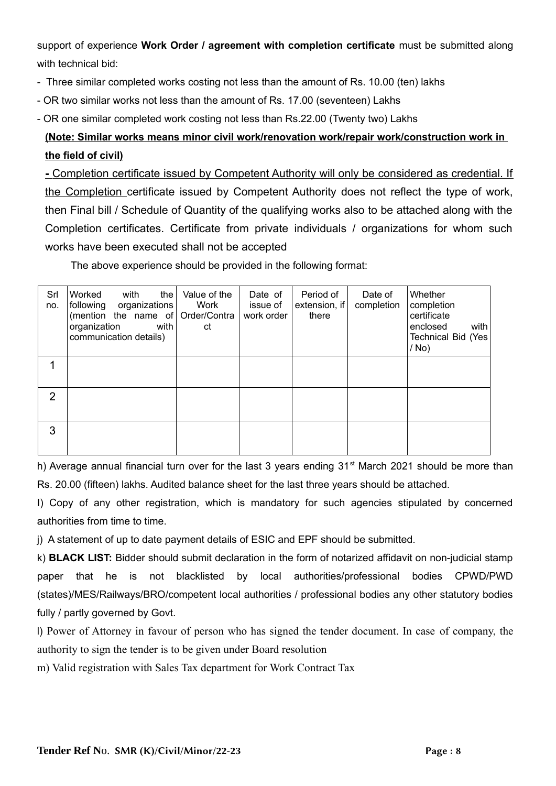support of experience **Work Order / agreement with completion certificate** must be submitted along with technical bid:

- Three similar completed works costing not less than the amount of Rs. 10.00 (ten) lakhs
- OR two similar works not less than the amount of Rs. 17.00 (seventeen) Lakhs
- OR one similar completed work costing not less than Rs.22.00 (Twenty two) Lakhs

## **(Note: Similar works means minor civil work/renovation work/repair work/construction work in the field of civil)**

 **-** Completion certificate issued by Competent Authority will only be considered as credential. If the Completion certificate issued by Competent Authority does not reflect the type of work, then Final bill / Schedule of Quantity of the qualifying works also to be attached along with the Completion certificates. Certificate from private individuals / organizations for whom such works have been executed shall not be accepted

The above experience should be provided in the following format:

| Srl<br>no.     | Worked<br>with<br>the<br>following<br>organizations<br>(mention the name of Order/Contra<br>organization<br>with<br>communication details) | Value of the<br>Work<br>ct | Date of<br>issue of<br>work order | Period of<br>extension, if<br>there | Date of<br>completion | Whether<br>completion<br>certificate<br>enclosed<br>with<br>Technical Bid (Yes)<br>/ No) |
|----------------|--------------------------------------------------------------------------------------------------------------------------------------------|----------------------------|-----------------------------------|-------------------------------------|-----------------------|------------------------------------------------------------------------------------------|
|                |                                                                                                                                            |                            |                                   |                                     |                       |                                                                                          |
| $\overline{2}$ |                                                                                                                                            |                            |                                   |                                     |                       |                                                                                          |
| 3              |                                                                                                                                            |                            |                                   |                                     |                       |                                                                                          |

h) Average annual financial turn over for the last 3 years ending 31<sup>st</sup> March 2021 should be more than Rs. 20.00 (fifteen) lakhs. Audited balance sheet for the last three years should be attached.

I) Copy of any other registration, which is mandatory for such agencies stipulated by concerned authorities from time to time.

j) A statement of up to date payment details of ESIC and EPF should be submitted.

k) **BLACK LIST:** Bidder should submit declaration in the form of notarized affidavit on non-judicial stamp paper that he is not blacklisted by local authorities/professional bodies CPWD/PWD (states)/MES/Railways/BRO/competent local authorities / professional bodies any other statutory bodies fully / partly governed by Govt.

l) Power of Attorney in favour of person who has signed the tender document. In case of company, the authority to sign the tender is to be given under Board resolution

m) Valid registration with Sales Tax department for Work Contract Tax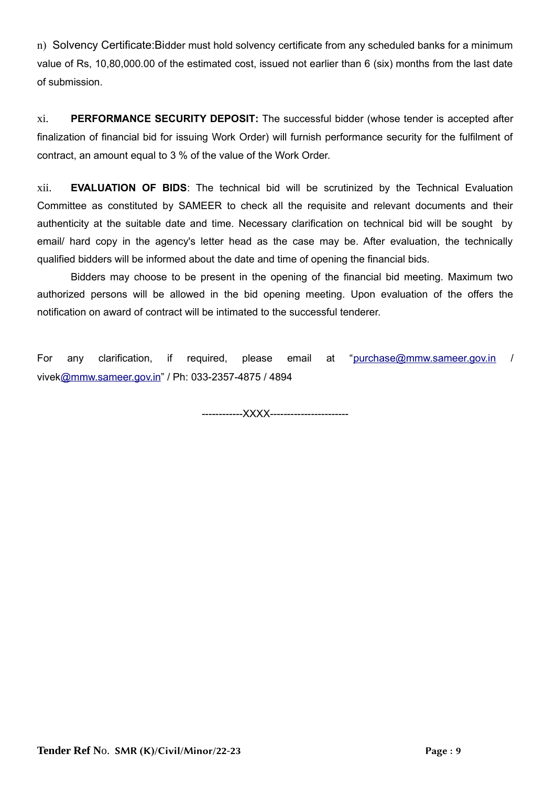n) Solvency Certificate:Bidder must hold solvency certificate from any scheduled banks for a minimum value of Rs, 10,80,000.00 of the estimated cost, issued not earlier than 6 (six) months from the last date of submission.

xi. **PERFORMANCE SECURITY DEPOSIT:** The successful bidder (whose tender is accepted after finalization of financial bid for issuing Work Order) will furnish performance security for the fulfilment of contract, an amount equal to 3 % of the value of the Work Order.

xii. **EVALUATION OF BIDS**: The technical bid will be scrutinized by the Technical Evaluation Committee as constituted by SAMEER to check all the requisite and relevant documents and their authenticity at the suitable date and time. Necessary clarification on technical bid will be sought by email/ hard copy in the agency's letter head as the case may be. After evaluation, the technically qualified bidders will be informed about the date and time of opening the financial bids.

Bidders may choose to be present in the opening of the financial bid meeting. Maximum two authorized persons will be allowed in the bid opening meeting. Upon evaluation of the offers the notification on award of contract will be intimated to the successful tenderer.

For any clarification, if required, please email at "purchase@mmw.sameer.gov.in / vivek@mmw.sameer.gov.in" / Ph: 033-2357-4875 / 4894

------------XXXX-----------------------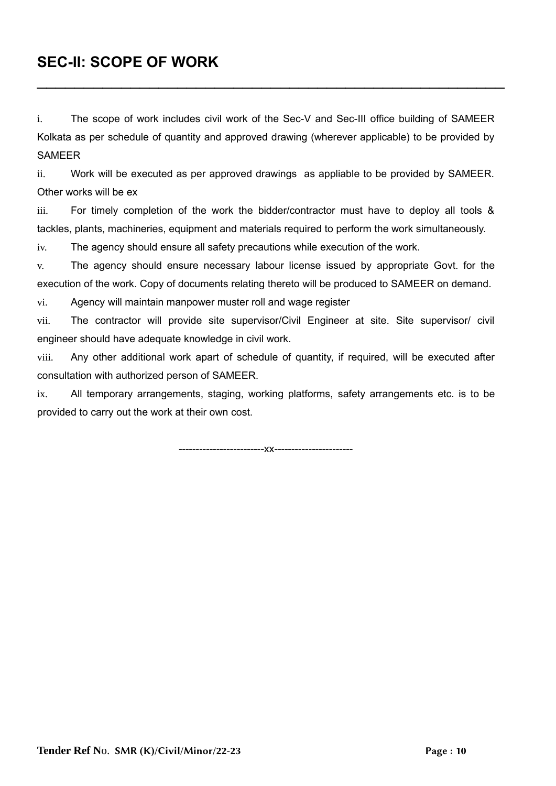## **SEC-II: SCOPE OF WORK**

i. The scope of work includes civil work of the Sec-V and Sec-III office building of SAMEER Kolkata as per schedule of quantity and approved drawing (wherever applicable) to be provided by **SAMEER** 

\_\_\_\_\_\_\_\_\_\_\_\_\_\_\_\_\_\_\_\_\_\_\_\_\_\_\_\_\_\_\_\_\_\_\_\_\_\_\_\_\_\_\_\_\_\_\_\_\_\_

ii. Work will be executed as per approved drawings as appliable to be provided by SAMEER. Other works will be ex

iii. For timely completion of the work the bidder/contractor must have to deploy all tools & tackles, plants, machineries, equipment and materials required to perform the work simultaneously.

iv. The agency should ensure all safety precautions while execution of the work.

v. The agency should ensure necessary labour license issued by appropriate Govt. for the execution of the work. Copy of documents relating thereto will be produced to SAMEER on demand.

vi. Agency will maintain manpower muster roll and wage register

vii. The contractor will provide site supervisor/Civil Engineer at site. Site supervisor/ civil engineer should have adequate knowledge in civil work.

viii. Any other additional work apart of schedule of quantity, if required, will be executed after consultation with authorized person of SAMEER.

ix. All temporary arrangements, staging, working platforms, safety arrangements etc. is to be provided to carry out the work at their own cost.

-------------------------xx-----------------------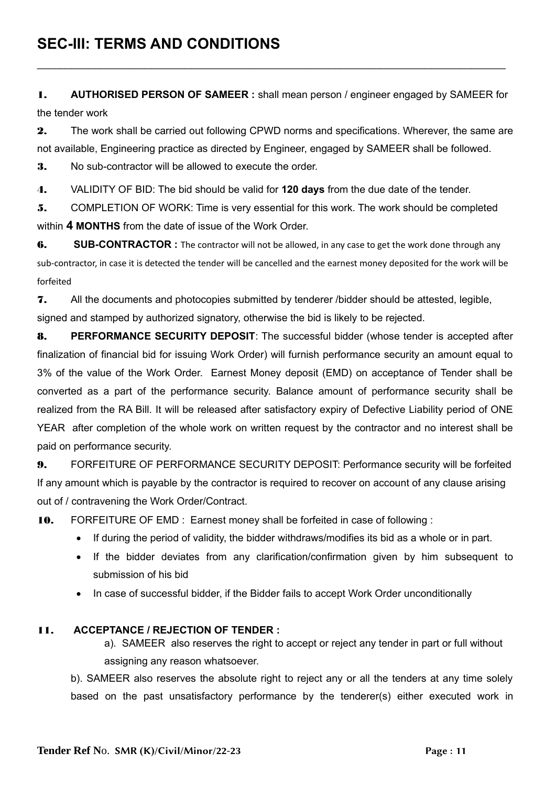1. **AUTHORISED PERSON OF SAMEER :** shall mean person / engineer engaged by SAMEER for the tender work

 $\mathcal{L}_\mathcal{L} = \mathcal{L}_\mathcal{L} = \mathcal{L}_\mathcal{L} = \mathcal{L}_\mathcal{L} = \mathcal{L}_\mathcal{L} = \mathcal{L}_\mathcal{L} = \mathcal{L}_\mathcal{L} = \mathcal{L}_\mathcal{L} = \mathcal{L}_\mathcal{L} = \mathcal{L}_\mathcal{L} = \mathcal{L}_\mathcal{L} = \mathcal{L}_\mathcal{L} = \mathcal{L}_\mathcal{L} = \mathcal{L}_\mathcal{L} = \mathcal{L}_\mathcal{L} = \mathcal{L}_\mathcal{L} = \mathcal{L}_\mathcal{L}$ 

2. The work shall be carried out following CPWD norms and specifications. Wherever, the same are not available, Engineering practice as directed by Engineer, engaged by SAMEER shall be followed.

**3.** No sub-contractor will be allowed to execute the order.

4. VALIDITY OF BID: The bid should be valid for **120 days** from the due date of the tender.

5. COMPLETION OF WORK: Time is very essential for this work. The work should be completed within **4 MONTHS** from the date of issue of the Work Order.

6. SUB-CONTRACTOR : The contractor will not be allowed, in any case to get the work done through any

sub-contractor, in case it is detected the tender will be cancelled and the earnest money deposited for the work will be forfeited

7. All the documents and photocopies submitted by tenderer /bidder should be attested, legible, signed and stamped by authorized signatory, otherwise the bid is likely to be rejected.

8. **PERFORMANCE SECURITY DEPOSIT**: The successful bidder (whose tender is accepted after finalization of financial bid for issuing Work Order) will furnish performance security an amount equal to 3% of the value of the Work Order. Earnest Money deposit (EMD) on acceptance of Tender shall be converted as a part of the performance security. Balance amount of performance security shall be realized from the RA Bill. It will be released after satisfactory expiry of Defective Liability period of ONE YEAR after completion of the whole work on written request by the contractor and no interest shall be paid on performance security.

9. FORFEITURE OF PERFORMANCE SECURITY DEPOSIT: Performance security will be forfeited If any amount which is payable by the contractor is required to recover on account of any clause arising out of / contravening the Work Order/Contract.

10. FORFEITURE OF EMD : Earnest money shall be forfeited in case of following :

- If during the period of validity, the bidder withdraws/modifies its bid as a whole or in part.
- If the bidder deviates from any clarification/confirmation given by him subsequent to submission of his bid
- In case of successful bidder, if the Bidder fails to accept Work Order unconditionally

#### 11. **ACCEPTANCE / REJECTION OF TENDER :**

a). SAMEER also reserves the right to accept or reject any tender in part or full without assigning any reason whatsoever.

b). SAMEER also reserves the absolute right to reject any or all the tenders at any time solely based on the past unsatisfactory performance by the tenderer(s) either executed work in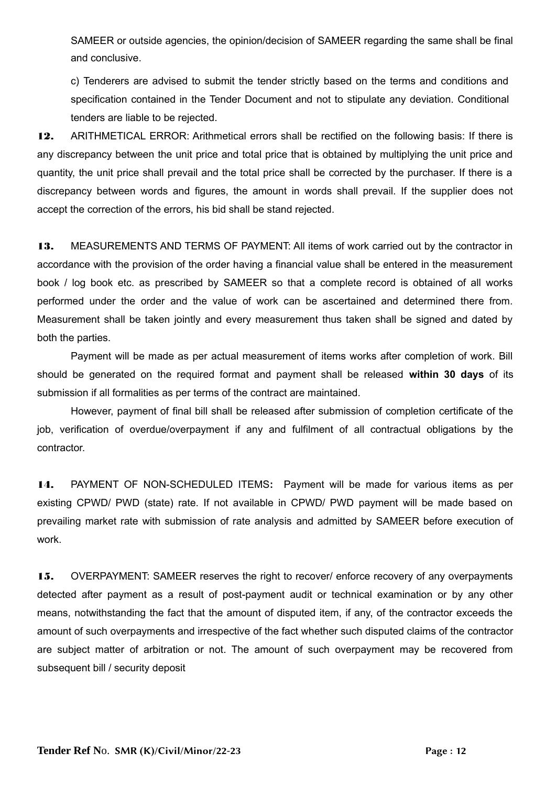SAMEER or outside agencies, the opinion/decision of SAMEER regarding the same shall be final and conclusive.

c) Tenderers are advised to submit the tender strictly based on the terms and conditions and specification contained in the Tender Document and not to stipulate any deviation. Conditional tenders are liable to be rejected.

12. ARITHMETICAL ERROR: Arithmetical errors shall be rectified on the following basis: If there is any discrepancy between the unit price and total price that is obtained by multiplying the unit price and quantity, the unit price shall prevail and the total price shall be corrected by the purchaser. If there is a discrepancy between words and figures, the amount in words shall prevail. If the supplier does not accept the correction of the errors, his bid shall be stand rejected.

13. MEASUREMENTS AND TERMS OF PAYMENT: All items of work carried out by the contractor in accordance with the provision of the order having a financial value shall be entered in the measurement book / log book etc. as prescribed by SAMEER so that a complete record is obtained of all works performed under the order and the value of work can be ascertained and determined there from. Measurement shall be taken jointly and every measurement thus taken shall be signed and dated by both the parties.

Payment will be made as per actual measurement of items works after completion of work. Bill should be generated on the required format and payment shall be released **within 30 days** of its submission if all formalities as per terms of the contract are maintained.

However, payment of final bill shall be released after submission of completion certificate of the job, verification of overdue/overpayment if any and fulfilment of all contractual obligations by the contractor.

14. PAYMENT OF NON-SCHEDULED ITEMS**:** Payment will be made for various items as per existing CPWD/ PWD (state) rate. If not available in CPWD/ PWD payment will be made based on prevailing market rate with submission of rate analysis and admitted by SAMEER before execution of work.

15. OVERPAYMENT: SAMEER reserves the right to recover/ enforce recovery of any overpayments detected after payment as a result of post-payment audit or technical examination or by any other means, notwithstanding the fact that the amount of disputed item, if any, of the contractor exceeds the amount of such overpayments and irrespective of the fact whether such disputed claims of the contractor are subject matter of arbitration or not. The amount of such overpayment may be recovered from subsequent bill / security deposit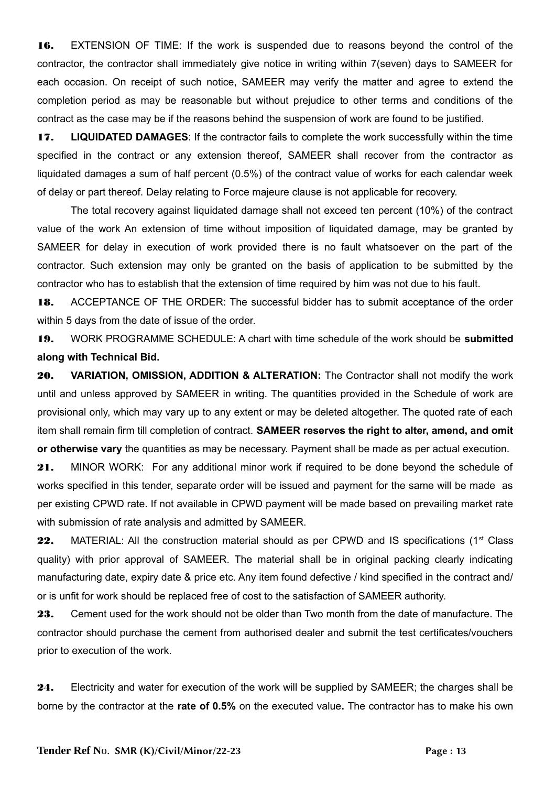16. EXTENSION OF TIME: If the work is suspended due to reasons beyond the control of the contractor, the contractor shall immediately give notice in writing within 7(seven) days to SAMEER for each occasion. On receipt of such notice, SAMEER may verify the matter and agree to extend the completion period as may be reasonable but without prejudice to other terms and conditions of the contract as the case may be if the reasons behind the suspension of work are found to be justified.

17. **LIQUIDATED DAMAGES**: If the contractor fails to complete the work successfully within the time specified in the contract or any extension thereof, SAMEER shall recover from the contractor as liquidated damages a sum of half percent (0.5%) of the contract value of works for each calendar week of delay or part thereof. Delay relating to Force majeure clause is not applicable for recovery.

The total recovery against liquidated damage shall not exceed ten percent (10%) of the contract value of the work An extension of time without imposition of liquidated damage, may be granted by SAMEER for delay in execution of work provided there is no fault whatsoever on the part of the contractor. Such extension may only be granted on the basis of application to be submitted by the contractor who has to establish that the extension of time required by him was not due to his fault.

18. ACCEPTANCE OF THE ORDER: The successful bidder has to submit acceptance of the order within 5 days from the date of issue of the order.

19. WORK PROGRAMME SCHEDULE: A chart with time schedule of the work should be **submitted along with Technical Bid.** 

20. **VARIATION, OMISSION, ADDITION & ALTERATION:** The Contractor shall not modify the work until and unless approved by SAMEER in writing. The quantities provided in the Schedule of work are provisional only, which may vary up to any extent or may be deleted altogether. The quoted rate of each item shall remain firm till completion of contract. **SAMEER reserves the right to alter, amend, and omit or otherwise vary** the quantities as may be necessary. Payment shall be made as per actual execution.

21. MINOR WORK: For any additional minor work if required to be done beyond the schedule of works specified in this tender, separate order will be issued and payment for the same will be made as per existing CPWD rate. If not available in CPWD payment will be made based on prevailing market rate with submission of rate analysis and admitted by SAMEER.

22. MATERIAL: All the construction material should as per CPWD and IS specifications (1<sup>st</sup> Class quality) with prior approval of SAMEER. The material shall be in original packing clearly indicating manufacturing date, expiry date & price etc. Any item found defective / kind specified in the contract and/ or is unfit for work should be replaced free of cost to the satisfaction of SAMEER authority.

23. Cement used for the work should not be older than Two month from the date of manufacture. The contractor should purchase the cement from authorised dealer and submit the test certificates/vouchers prior to execution of the work.

24. Electricity and water for execution of the work will be supplied by SAMEER; the charges shall be borne by the contractor at the **rate of 0.5%** on the executed value**.** The contractor has to make his own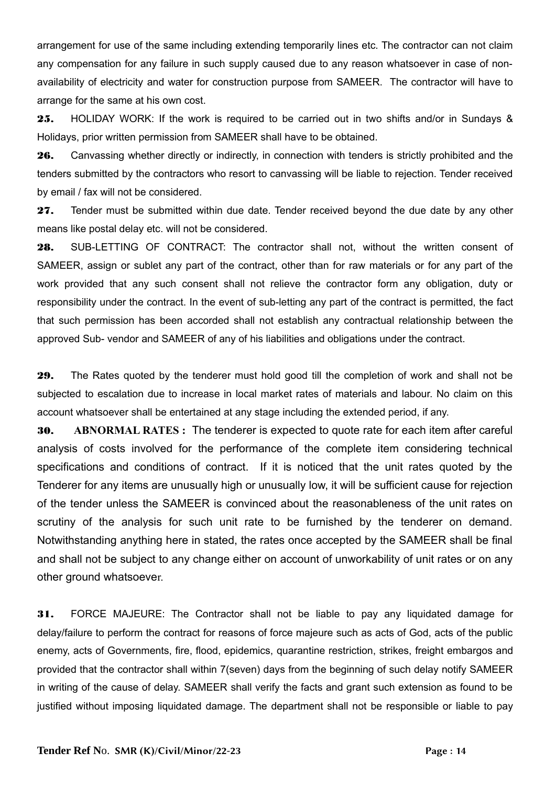arrangement for use of the same including extending temporarily lines etc. The contractor can not claim any compensation for any failure in such supply caused due to any reason whatsoever in case of nonavailability of electricity and water for construction purpose from SAMEER. The contractor will have to arrange for the same at his own cost.

25. HOLIDAY WORK: If the work is required to be carried out in two shifts and/or in Sundays & Holidays, prior written permission from SAMEER shall have to be obtained.

26. Canvassing whether directly or indirectly, in connection with tenders is strictly prohibited and the tenders submitted by the contractors who resort to canvassing will be liable to rejection. Tender received by email / fax will not be considered.

27. Tender must be submitted within due date. Tender received beyond the due date by any other means like postal delay etc. will not be considered.

28. SUB-LETTING OF CONTRACT: The contractor shall not, without the written consent of SAMEER, assign or sublet any part of the contract, other than for raw materials or for any part of the work provided that any such consent shall not relieve the contractor form any obligation, duty or responsibility under the contract. In the event of sub-letting any part of the contract is permitted, the fact that such permission has been accorded shall not establish any contractual relationship between the approved Sub- vendor and SAMEER of any of his liabilities and obligations under the contract.

29. The Rates quoted by the tenderer must hold good till the completion of work and shall not be subjected to escalation due to increase in local market rates of materials and labour. No claim on this account whatsoever shall be entertained at any stage including the extended period, if any.

30. **ABNORMAL RATES :** The tenderer is expected to quote rate for each item after careful analysis of costs involved for the performance of the complete item considering technical specifications and conditions of contract. If it is noticed that the unit rates quoted by the Tenderer for any items are unusually high or unusually low, it will be sufficient cause for rejection of the tender unless the SAMEER is convinced about the reasonableness of the unit rates on scrutiny of the analysis for such unit rate to be furnished by the tenderer on demand. Notwithstanding anything here in stated, the rates once accepted by the SAMEER shall be final and shall not be subject to any change either on account of unworkability of unit rates or on any other ground whatsoever.

31. FORCE MAJEURE: The Contractor shall not be liable to pay any liquidated damage for delay/failure to perform the contract for reasons of force majeure such as acts of God, acts of the public enemy, acts of Governments, fire, flood, epidemics, quarantine restriction, strikes, freight embargos and provided that the contractor shall within 7(seven) days from the beginning of such delay notify SAMEER in writing of the cause of delay. SAMEER shall verify the facts and grant such extension as found to be justified without imposing liquidated damage. The department shall not be responsible or liable to pay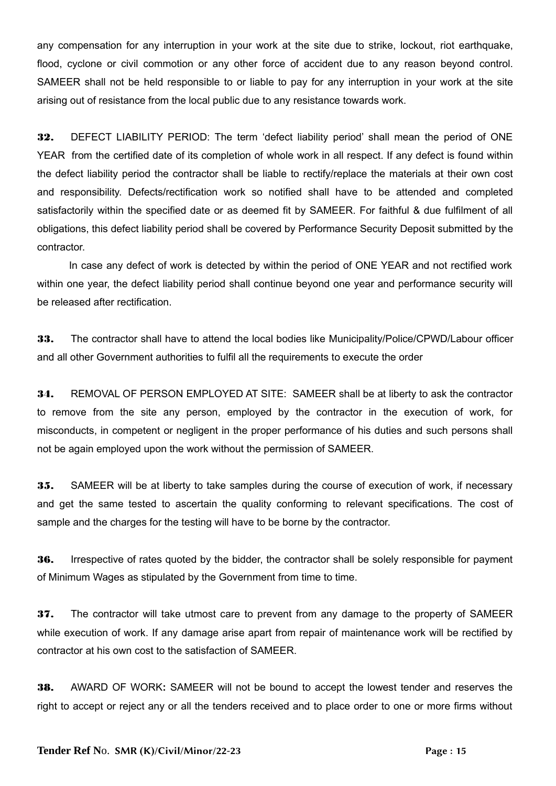any compensation for any interruption in your work at the site due to strike, lockout, riot earthquake, flood, cyclone or civil commotion or any other force of accident due to any reason beyond control. SAMEER shall not be held responsible to or liable to pay for any interruption in your work at the site arising out of resistance from the local public due to any resistance towards work.

32. DEFECT LIABILITY PERIOD: The term 'defect liability period' shall mean the period of ONE YEAR from the certified date of its completion of whole work in all respect. If any defect is found within the defect liability period the contractor shall be liable to rectify/replace the materials at their own cost and responsibility. Defects/rectification work so notified shall have to be attended and completed satisfactorily within the specified date or as deemed fit by SAMEER. For faithful & due fulfilment of all obligations, this defect liability period shall be covered by Performance Security Deposit submitted by the contractor.

 In case any defect of work is detected by within the period of ONE YEAR and not rectified work within one year, the defect liability period shall continue beyond one year and performance security will be released after rectification.

**33.** The contractor shall have to attend the local bodies like Municipality/Police/CPWD/Labour officer and all other Government authorities to fulfil all the requirements to execute the order

34. REMOVAL OF PERSON EMPLOYED AT SITE: SAMEER shall be at liberty to ask the contractor to remove from the site any person, employed by the contractor in the execution of work, for misconducts, in competent or negligent in the proper performance of his duties and such persons shall not be again employed upon the work without the permission of SAMEER.

35. SAMEER will be at liberty to take samples during the course of execution of work, if necessary and get the same tested to ascertain the quality conforming to relevant specifications. The cost of sample and the charges for the testing will have to be borne by the contractor.

36. Irrespective of rates quoted by the bidder, the contractor shall be solely responsible for payment of Minimum Wages as stipulated by the Government from time to time.

37. The contractor will take utmost care to prevent from any damage to the property of SAMEER while execution of work. If any damage arise apart from repair of maintenance work will be rectified by contractor at his own cost to the satisfaction of SAMEER.

38. AWARD OF WORK**:** SAMEER will not be bound to accept the lowest tender and reserves the right to accept or reject any or all the tenders received and to place order to one or more firms without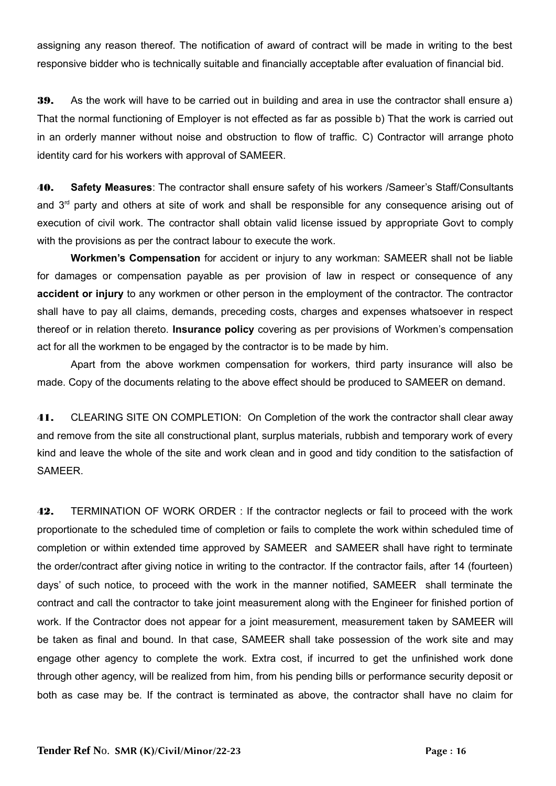assigning any reason thereof. The notification of award of contract will be made in writing to the best responsive bidder who is technically suitable and financially acceptable after evaluation of financial bid.

39. As the work will have to be carried out in building and area in use the contractor shall ensure a) That the normal functioning of Employer is not effected as far as possible b) That the work is carried out in an orderly manner without noise and obstruction to flow of traffic. C) Contractor will arrange photo identity card for his workers with approval of SAMEER.

40. **Safety Measures**: The contractor shall ensure safety of his workers /Sameer's Staff/Consultants and 3<sup>rd</sup> party and others at site of work and shall be responsible for any consequence arising out of execution of civil work. The contractor shall obtain valid license issued by appropriate Govt to comply with the provisions as per the contract labour to execute the work.

**Workmen's Compensation** for accident or injury to any workman: SAMEER shall not be liable for damages or compensation payable as per provision of law in respect or consequence of any **accident or injury** to any workmen or other person in the employment of the contractor. The contractor shall have to pay all claims, demands, preceding costs, charges and expenses whatsoever in respect thereof or in relation thereto. **Insurance policy** covering as per provisions of Workmen's compensation act for all the workmen to be engaged by the contractor is to be made by him.

Apart from the above workmen compensation for workers, third party insurance will also be made. Copy of the documents relating to the above effect should be produced to SAMEER on demand.

41. CLEARING SITE ON COMPLETION: On Completion of the work the contractor shall clear away and remove from the site all constructional plant, surplus materials, rubbish and temporary work of every kind and leave the whole of the site and work clean and in good and tidy condition to the satisfaction of SAMEER.

42. TERMINATION OF WORK ORDER : If the contractor neglects or fail to proceed with the work proportionate to the scheduled time of completion or fails to complete the work within scheduled time of completion or within extended time approved by SAMEER and SAMEER shall have right to terminate the order/contract after giving notice in writing to the contractor. If the contractor fails, after 14 (fourteen) days' of such notice, to proceed with the work in the manner notified, SAMEER shall terminate the contract and call the contractor to take joint measurement along with the Engineer for finished portion of work. If the Contractor does not appear for a joint measurement, measurement taken by SAMEER will be taken as final and bound. In that case, SAMEER shall take possession of the work site and may engage other agency to complete the work. Extra cost, if incurred to get the unfinished work done through other agency, will be realized from him, from his pending bills or performance security deposit or both as case may be. If the contract is terminated as above, the contractor shall have no claim for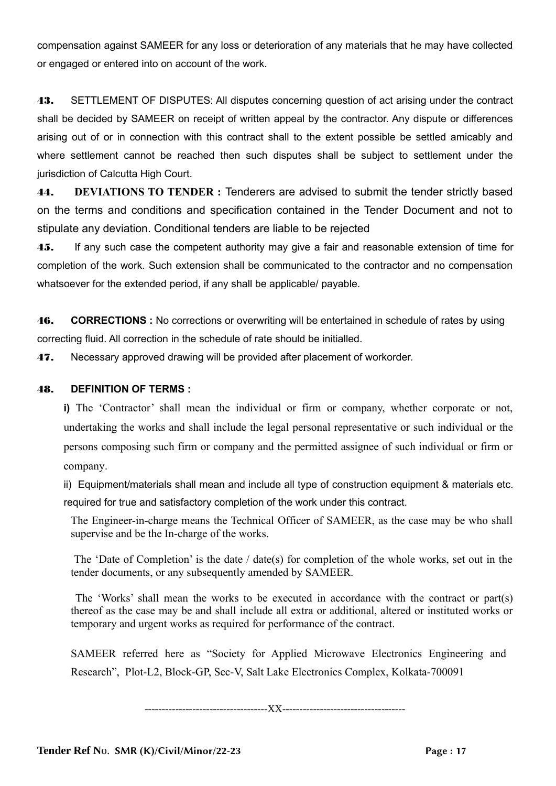compensation against SAMEER for any loss or deterioration of any materials that he may have collected or engaged or entered into on account of the work.

43. SETTLEMENT OF DISPUTES: All disputes concerning question of act arising under the contract shall be decided by SAMEER on receipt of written appeal by the contractor. Any dispute or differences arising out of or in connection with this contract shall to the extent possible be settled amicably and where settlement cannot be reached then such disputes shall be subject to settlement under the jurisdiction of Calcutta High Court.

44. **DEVIATIONS TO TENDER :** Tenderers are advised to submit the tender strictly based on the terms and conditions and specification contained in the Tender Document and not to stipulate any deviation. Conditional tenders are liable to be rejected

**45.** If any such case the competent authority may give a fair and reasonable extension of time for completion of the work. Such extension shall be communicated to the contractor and no compensation whatsoever for the extended period, if any shall be applicable/ payable.

46. **CORRECTIONS :** No corrections or overwriting will be entertained in schedule of rates by using correcting fluid. All correction in the schedule of rate should be initialled.

**47.** Necessary approved drawing will be provided after placement of workorder.

#### 48. **DEFINITION OF TERMS :**

**i)** The 'Contractor' shall mean the individual or firm or company, whether corporate or not, undertaking the works and shall include the legal personal representative or such individual or the persons composing such firm or company and the permitted assignee of such individual or firm or company.

ii) Equipment/materials shall mean and include all type of construction equipment & materials etc. required for true and satisfactory completion of the work under this contract.

The Engineer-in-charge means the Technical Officer of SAMEER, as the case may be who shall supervise and be the In-charge of the works.

 The 'Date of Completion' is the date / date(s) for completion of the whole works, set out in the tender documents, or any subsequently amended by SAMEER.

 The 'Works' shall mean the works to be executed in accordance with the contract or part(s) thereof as the case may be and shall include all extra or additional, altered or instituted works or temporary and urgent works as required for performance of the contract.

SAMEER referred here as "Society for Applied Microwave Electronics Engineering and Research", Plot-L2, Block-GP, Sec-V, Salt Lake Electronics Complex, Kolkata-700091

------------------------------------XX------------------------------------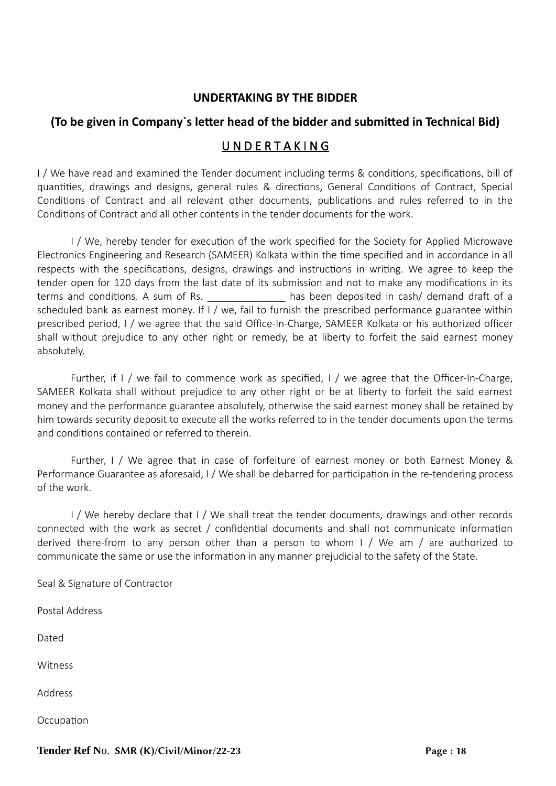### **UNDERTAKING BY THE BIDDER**

### **(To be given in Company`s letter head of the bidder and submitted in Technical Bid)**

### U N D E R T A K I N G

I / We have read and examined the Tender document including terms & conditions, specifications, bill of quantities, drawings and designs, general rules & directions, General Conditions of Contract, Special Conditions of Contract and all relevant other documents, publications and rules referred to in the Conditions of Contract and all other contents in the tender documents for the work.

I / We, hereby tender for execution of the work specified for the Society for Applied Microwave Electronics Engineering and Research (SAMEER) Kolkata within the time specified and in accordance in all respects with the specifications, designs, drawings and instructions in writing. We agree to keep the tender open for 120 days from the last date of its submission and not to make any modifications in its terms and conditions. A sum of Rs. The state of the seen deposited in cash/ demand draft of a scheduled bank as earnest money. If I / we, fail to furnish the prescribed performance guarantee within prescribed period, I / we agree that the said Office-In-Charge, SAMEER Kolkata or his authorized officer shall without prejudice to any other right or remedy, be at liberty to forfeit the said earnest money absolutely.

Further, if I / we fail to commence work as specified, I / we agree that the Officer-In-Charge, SAMEER Kolkata shall without prejudice to any other right or be at liberty to forfeit the said earnest money and the performance guarantee absolutely, otherwise the said earnest money shall be retained by him towards security deposit to execute all the works referred to in the tender documents upon the terms and conditions contained or referred to therein.

Further, I / We agree that in case of forfeiture of earnest money or both Earnest Money & Performance Guarantee as aforesaid, I / We shall be debarred for participation in the re-tendering process of the work.

I / We hereby declare that I / We shall treat the tender documents, drawings and other records connected with the work as secret / confidential documents and shall not communicate information derived there-from to any person other than a person to whom I / We am / are authorized to communicate the same or use the information in any manner prejudicial to the safety of the State.

Seal & Signature of Contractor

Postal Address

Dated

Witness

Address

**Occupation**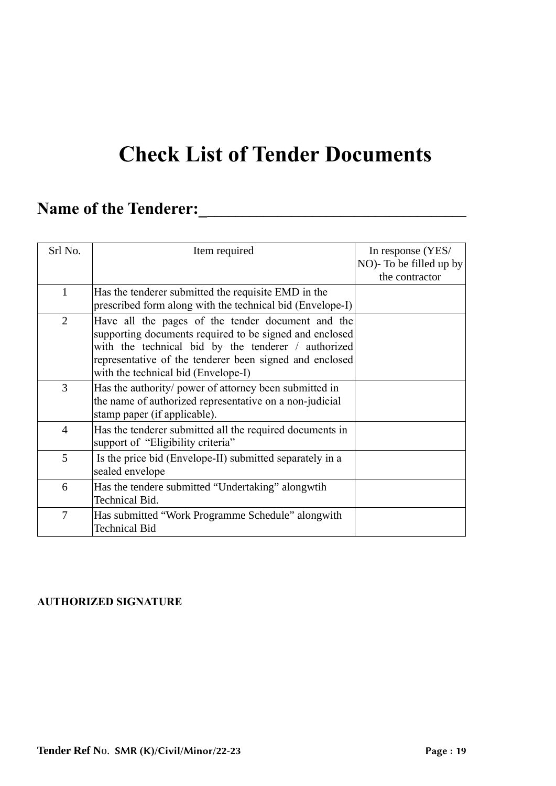# **Check List of Tender Documents**

# **Name of the Tenderer:\_\_\_\_\_\_\_\_\_\_\_\_\_\_\_\_\_\_\_\_\_\_\_\_\_\_\_\_\_\_\_\_\_\_\_\_\_\_**

| Srl No.                  | Item required                                                                                                                                                                                                                                                         | In response (YES/<br>NO)- To be filled up by<br>the contractor |
|--------------------------|-----------------------------------------------------------------------------------------------------------------------------------------------------------------------------------------------------------------------------------------------------------------------|----------------------------------------------------------------|
| $\mathbf{1}$             | Has the tenderer submitted the requisite EMD in the<br>prescribed form along with the technical bid (Envelope-I)                                                                                                                                                      |                                                                |
| $\overline{2}$           | Have all the pages of the tender document and the<br>supporting documents required to be signed and enclosed<br>with the technical bid by the tenderer / authorized<br>representative of the tenderer been signed and enclosed<br>with the technical bid (Envelope-I) |                                                                |
| 3                        | Has the authority/ power of attorney been submitted in<br>the name of authorized representative on a non-judicial<br>stamp paper (if applicable).                                                                                                                     |                                                                |
| $\overline{\mathcal{A}}$ | Has the tenderer submitted all the required documents in<br>support of "Eligibility criteria"                                                                                                                                                                         |                                                                |
| 5                        | Is the price bid (Envelope-II) submitted separately in a<br>sealed envelope                                                                                                                                                                                           |                                                                |
| 6                        | Has the tendere submitted "Undertaking" alongwtih<br>Technical Bid.                                                                                                                                                                                                   |                                                                |
| 7                        | Has submitted "Work Programme Schedule" alongwith<br><b>Technical Bid</b>                                                                                                                                                                                             |                                                                |

### **AUTHORIZED SIGNATURE**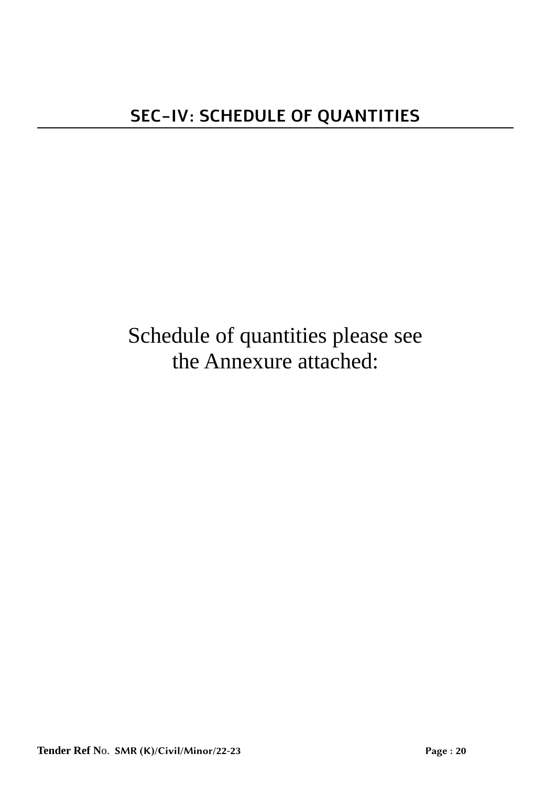# Schedule of quantities please see the Annexure attached: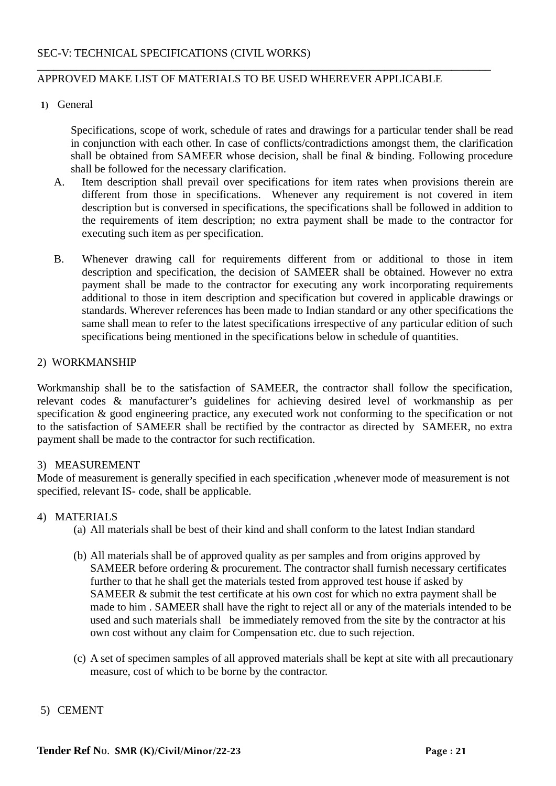#### APPROVED MAKE LIST OF MATERIALS TO BE USED WHEREVER APPLICABLE

\_\_\_\_\_\_\_\_\_\_\_\_\_\_\_\_\_\_\_\_\_\_\_\_\_\_\_\_\_\_\_\_\_\_\_\_\_\_\_\_\_\_\_\_\_\_\_\_\_\_\_\_\_\_\_\_\_\_\_\_\_\_\_\_\_\_\_\_\_\_\_\_\_\_\_\_\_\_\_\_\_

#### **1)** General

Specifications, scope of work, schedule of rates and drawings for a particular tender shall be read in conjunction with each other. In case of conflicts/contradictions amongst them, the clarification shall be obtained from SAMEER whose decision, shall be final & binding. Following procedure shall be followed for the necessary clarification.

- A. Item description shall prevail over specifications for item rates when provisions therein are different from those in specifications. Whenever any requirement is not covered in item description but is conversed in specifications, the specifications shall be followed in addition to the requirements of item description; no extra payment shall be made to the contractor for executing such item as per specification.
- B. Whenever drawing call for requirements different from or additional to those in item description and specification, the decision of SAMEER shall be obtained. However no extra payment shall be made to the contractor for executing any work incorporating requirements additional to those in item description and specification but covered in applicable drawings or standards. Wherever references has been made to Indian standard or any other specifications the same shall mean to refer to the latest specifications irrespective of any particular edition of such specifications being mentioned in the specifications below in schedule of quantities.

#### 2) WORKMANSHIP

Workmanship shall be to the satisfaction of SAMEER, the contractor shall follow the specification, relevant codes & manufacturer's guidelines for achieving desired level of workmanship as per specification & good engineering practice, any executed work not conforming to the specification or not to the satisfaction of SAMEER shall be rectified by the contractor as directed by SAMEER, no extra payment shall be made to the contractor for such rectification.

#### 3) MEASUREMENT

Mode of measurement is generally specified in each specification ,whenever mode of measurement is not specified, relevant IS- code, shall be applicable.

#### 4) MATERIALS

- (a) All materials shall be best of their kind and shall conform to the latest Indian standard
- (b) All materials shall be of approved quality as per samples and from origins approved by SAMEER before ordering & procurement. The contractor shall furnish necessary certificates further to that he shall get the materials tested from approved test house if asked by SAMEER & submit the test certificate at his own cost for which no extra payment shall be made to him . SAMEER shall have the right to reject all or any of the materials intended to be used and such materials shall be immediately removed from the site by the contractor at his own cost without any claim for Compensation etc. due to such rejection.
- (c) A set of specimen samples of all approved materials shall be kept at site with all precautionary measure, cost of which to be borne by the contractor.

#### 5) CEMENT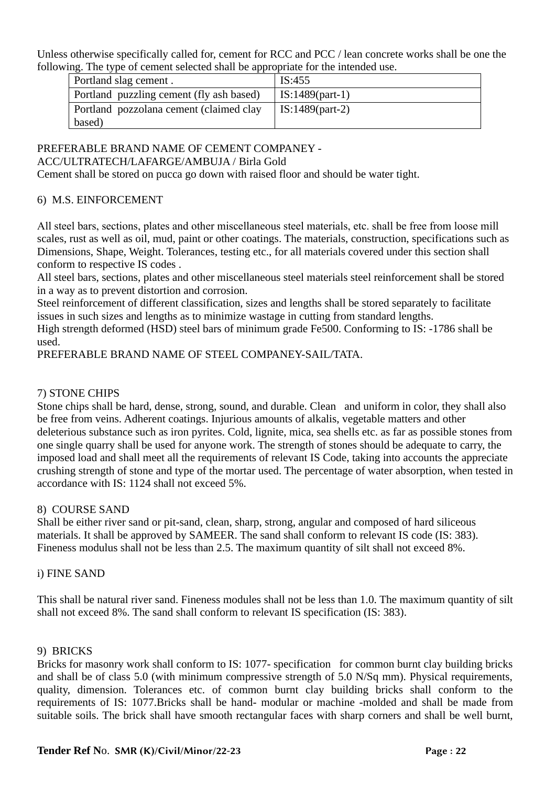Unless otherwise specifically called for, cement for RCC and PCC / lean concrete works shall be one the following. The type of cement selected shall be appropriate for the intended use.

| Portland slag cement.                    | IS:455            |
|------------------------------------------|-------------------|
| Portland puzzling cement (fly ash based) | $IS:1489(part-1)$ |
| Portland pozzolana cement (claimed clay  | IS:1489(part-2)   |
| based)                                   |                   |

## PREFERABLE BRAND NAME OF CEMENT COMPANEY -

#### ACC/ULTRATECH/LAFARGE/AMBUJA / Birla Gold

Cement shall be stored on pucca go down with raised floor and should be water tight.

#### 6) M.S. EINFORCEMENT

All steel bars, sections, plates and other miscellaneous steel materials, etc. shall be free from loose mill scales, rust as well as oil, mud, paint or other coatings. The materials, construction, specifications such as Dimensions, Shape, Weight. Tolerances, testing etc., for all materials covered under this section shall conform to respective IS codes .

All steel bars, sections, plates and other miscellaneous steel materials steel reinforcement shall be stored in a way as to prevent distortion and corrosion.

Steel reinforcement of different classification, sizes and lengths shall be stored separately to facilitate issues in such sizes and lengths as to minimize wastage in cutting from standard lengths.

High strength deformed (HSD) steel bars of minimum grade Fe500. Conforming to IS: -1786 shall be used.

PREFERABLE BRAND NAME OF STEEL COMPANEY-SAIL/TATA.

#### 7) STONE CHIPS

Stone chips shall be hard, dense, strong, sound, and durable. Clean and uniform in color, they shall also be free from veins. Adherent coatings. Injurious amounts of alkalis, vegetable matters and other deleterious substance such as iron pyrites. Cold, lignite, mica, sea shells etc. as far as possible stones from one single quarry shall be used for anyone work. The strength of stones should be adequate to carry, the imposed load and shall meet all the requirements of relevant IS Code, taking into accounts the appreciate crushing strength of stone and type of the mortar used. The percentage of water absorption, when tested in accordance with IS: 1124 shall not exceed 5%.

#### 8) COURSE SAND

Shall be either river sand or pit-sand, clean, sharp, strong, angular and composed of hard siliceous materials. It shall be approved by SAMEER. The sand shall conform to relevant IS code (IS: 383). Fineness modulus shall not be less than 2.5. The maximum quantity of silt shall not exceed 8%.

#### i) FINE SAND

This shall be natural river sand. Fineness modules shall not be less than 1.0. The maximum quantity of silt shall not exceed 8%. The sand shall conform to relevant IS specification (IS: 383).

#### 9) BRICKS

Bricks for masonry work shall conform to IS: 1077- specification for common burnt clay building bricks and shall be of class 5.0 (with minimum compressive strength of 5.0 N/Sq mm). Physical requirements, quality, dimension. Tolerances etc. of common burnt clay building bricks shall conform to the requirements of IS: 1077.Bricks shall be hand- modular or machine -molded and shall be made from suitable soils. The brick shall have smooth rectangular faces with sharp corners and shall be well burnt,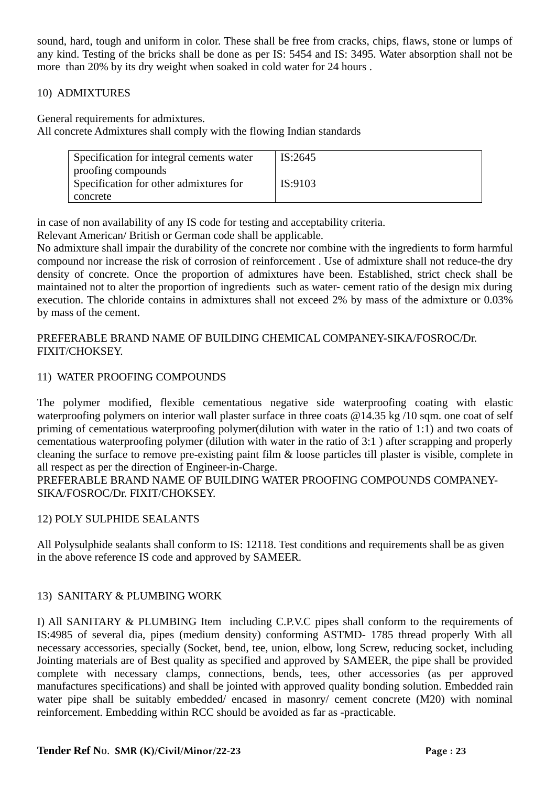sound, hard, tough and uniform in color. These shall be free from cracks, chips, flaws, stone or lumps of any kind. Testing of the bricks shall be done as per IS: 5454 and IS: 3495. Water absorption shall not be more than 20% by its dry weight when soaked in cold water for 24 hours .

#### 10) ADMIXTURES

General requirements for admixtures.

All concrete Admixtures shall comply with the flowing Indian standards

| Specification for integral cements water | IS:2645 |
|------------------------------------------|---------|
| proofing compounds                       |         |
| Specification for other admixtures for   | IS:9103 |
| concrete                                 |         |

in case of non availability of any IS code for testing and acceptability criteria.

Relevant American/ British or German code shall be applicable.

No admixture shall impair the durability of the concrete nor combine with the ingredients to form harmful compound nor increase the risk of corrosion of reinforcement . Use of admixture shall not reduce-the dry density of concrete. Once the proportion of admixtures have been. Established, strict check shall be maintained not to alter the proportion of ingredients such as water- cement ratio of the design mix during execution. The chloride contains in admixtures shall not exceed 2% by mass of the admixture or 0.03% by mass of the cement.

#### PREFERABLE BRAND NAME OF BUILDING CHEMICAL COMPANEY-SIKA/FOSROC/Dr. FIXIT/CHOKSEY.

#### 11) WATER PROOFING COMPOUNDS

The polymer modified, flexible cementatious negative side waterproofing coating with elastic waterproofing polymers on interior wall plaster surface in three coats  $@14.35$  kg /10 sqm. one coat of self priming of cementatious waterproofing polymer(dilution with water in the ratio of 1:1) and two coats of cementatious waterproofing polymer (dilution with water in the ratio of 3:1 ) after scrapping and properly cleaning the surface to remove pre-existing paint film & loose particles till plaster is visible, complete in all respect as per the direction of Engineer-in-Charge.

PREFERABLE BRAND NAME OF BUILDING WATER PROOFING COMPOUNDS COMPANEY-SIKA/FOSROC/Dr. FIXIT/CHOKSEY.

#### 12) POLY SULPHIDE SEALANTS

All Polysulphide sealants shall conform to IS: 12118. Test conditions and requirements shall be as given in the above reference IS code and approved by SAMEER.

#### 13) SANITARY & PLUMBING WORK

I) All SANITARY & PLUMBING Item including C.P.V.C pipes shall conform to the requirements of IS:4985 of several dia, pipes (medium density) conforming ASTMD- 1785 thread properly With all necessary accessories, specially (Socket, bend, tee, union, elbow, long Screw, reducing socket, including Jointing materials are of Best quality as specified and approved by SAMEER, the pipe shall be provided complete with necessary clamps, connections, bends, tees, other accessories (as per approved manufactures specifications) and shall be jointed with approved quality bonding solution. Embedded rain water pipe shall be suitably embedded/ encased in masonry/ cement concrete (M20) with nominal reinforcement. Embedding within RCC should be avoided as far as -practicable.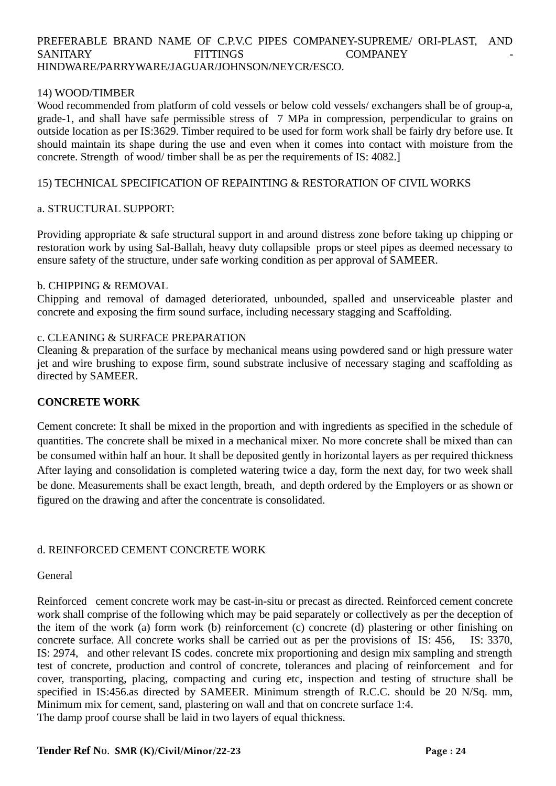#### PREFERABLE BRAND NAME OF C.P.V.C PIPES COMPANEY-SUPREME/ ORI-PLAST, AND SANITARY FITTINGS COMPANEY HINDWARE/PARRYWARE/JAGUAR/JOHNSON/NEYCR/ESCO.

#### 14) WOOD/TIMBER

Wood recommended from platform of cold vessels or below cold vessels/ exchangers shall be of group-a, grade-1, and shall have safe permissible stress of 7 MPa in compression, perpendicular to grains on outside location as per IS:3629. Timber required to be used for form work shall be fairly dry before use. It should maintain its shape during the use and even when it comes into contact with moisture from the concrete. Strength of wood/ timber shall be as per the requirements of IS: 4082.]

#### 15) TECHNICAL SPECIFICATION OF REPAINTING & RESTORATION OF CIVIL WORKS

#### a. STRUCTURAL SUPPORT:

Providing appropriate & safe structural support in and around distress zone before taking up chipping or restoration work by using Sal-Ballah, heavy duty collapsible props or steel pipes as deemed necessary to ensure safety of the structure, under safe working condition as per approval of SAMEER.

#### b. CHIPPING & REMOVAL

Chipping and removal of damaged deteriorated, unbounded, spalled and unserviceable plaster and concrete and exposing the firm sound surface, including necessary stagging and Scaffolding.

#### c. CLEANING & SURFACE PREPARATION

Cleaning & preparation of the surface by mechanical means using powdered sand or high pressure water jet and wire brushing to expose firm, sound substrate inclusive of necessary staging and scaffolding as directed by SAMEER.

#### **CONCRETE WORK**

Cement concrete: It shall be mixed in the proportion and with ingredients as specified in the schedule of quantities. The concrete shall be mixed in a mechanical mixer. No more concrete shall be mixed than can be consumed within half an hour. It shall be deposited gently in horizontal layers as per required thickness After laying and consolidation is completed watering twice a day, form the next day, for two week shall be done. Measurements shall be exact length, breath, and depth ordered by the Employers or as shown or figured on the drawing and after the concentrate is consolidated.

#### d. REINFORCED CEMENT CONCRETE WORK

#### General

Reinforced cement concrete work may be cast-in-situ or precast as directed. Reinforced cement concrete work shall comprise of the following which may be paid separately or collectively as per the deception of the item of the work (a) form work (b) reinforcement (c) concrete (d) plastering or other finishing on concrete surface. All concrete works shall be carried out as per the provisions of IS: 456, IS: 3370, IS: 2974, and other relevant IS codes. concrete mix proportioning and design mix sampling and strength test of concrete, production and control of concrete, tolerances and placing of reinforcement and for cover, transporting, placing, compacting and curing etc, inspection and testing of structure shall be specified in IS:456.as directed by SAMEER. Minimum strength of R.C.C. should be 20 N/Sq. mm, Minimum mix for cement, sand, plastering on wall and that on concrete surface 1:4. The damp proof course shall be laid in two layers of equal thickness.

#### **Tender Ref No. SMR (K)/Civil/Minor/22-23 Page : 24** Page : 24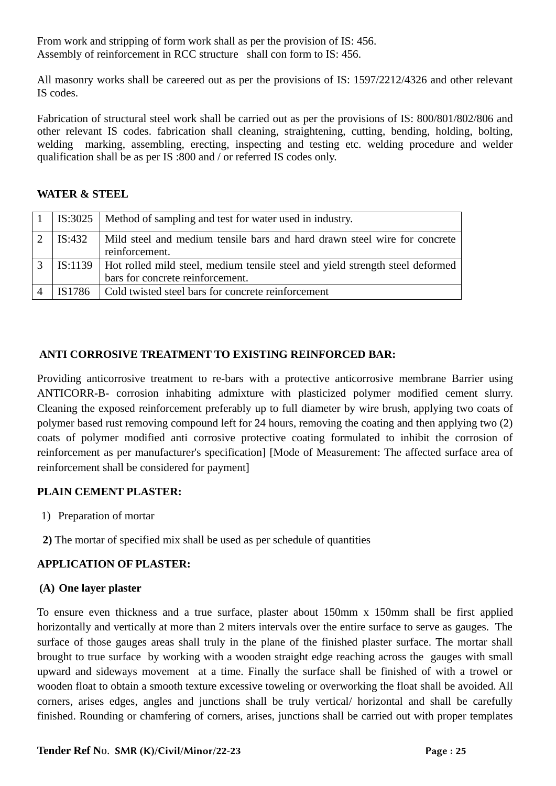From work and stripping of form work shall as per the provision of IS: 456. Assembly of reinforcement in RCC structure shall con form to IS: 456.

All masonry works shall be careered out as per the provisions of IS: 1597/2212/4326 and other relevant IS codes.

Fabrication of structural steel work shall be carried out as per the provisions of IS: 800/801/802/806 and other relevant IS codes. fabrication shall cleaning, straightening, cutting, bending, holding, bolting, welding marking, assembling, erecting, inspecting and testing etc. welding procedure and welder qualification shall be as per IS :800 and / or referred IS codes only.

#### **WATER & STEEL**

|   |        | 1   IS:3025   Method of sampling and test for water used in industry.                                                     |
|---|--------|---------------------------------------------------------------------------------------------------------------------------|
|   | IS:432 | Mild steel and medium tensile bars and hard drawn steel wire for concrete<br>reinforcement.                               |
| 3 |        | IS:1139 Hot rolled mild steel, medium tensile steel and yield strength steel deformed<br>bars for concrete reinforcement. |
|   | IS1786 | Cold twisted steel bars for concrete reinforcement                                                                        |

#### **ANTI CORROSIVE TREATMENT TO EXISTING REINFORCED BAR:**

Providing anticorrosive treatment to re-bars with a protective anticorrosive membrane Barrier using ANTICORR-B- corrosion inhabiting admixture with plasticized polymer modified cement slurry. Cleaning the exposed reinforcement preferably up to full diameter by wire brush, applying two coats of polymer based rust removing compound left for 24 hours, removing the coating and then applying two (2) coats of polymer modified anti corrosive protective coating formulated to inhibit the corrosion of reinforcement as per manufacturer's specification] [Mode of Measurement: The affected surface area of reinforcement shall be considered for payment]

#### **PLAIN CEMENT PLASTER:**

- 1) Preparation of mortar
- **2)** The mortar of specified mix shall be used as per schedule of quantities

#### **APPLICATION OF PLASTER:**

#### **(A) One layer plaster**

To ensure even thickness and a true surface, plaster about 150mm x 150mm shall be first applied horizontally and vertically at more than 2 miters intervals over the entire surface to serve as gauges. The surface of those gauges areas shall truly in the plane of the finished plaster surface. The mortar shall brought to true surface by working with a wooden straight edge reaching across the gauges with small upward and sideways movement at a time. Finally the surface shall be finished of with a trowel or wooden float to obtain a smooth texture excessive toweling or overworking the float shall be avoided. All corners, arises edges, angles and junctions shall be truly vertical/ horizontal and shall be carefully finished. Rounding or chamfering of corners, arises, junctions shall be carried out with proper templates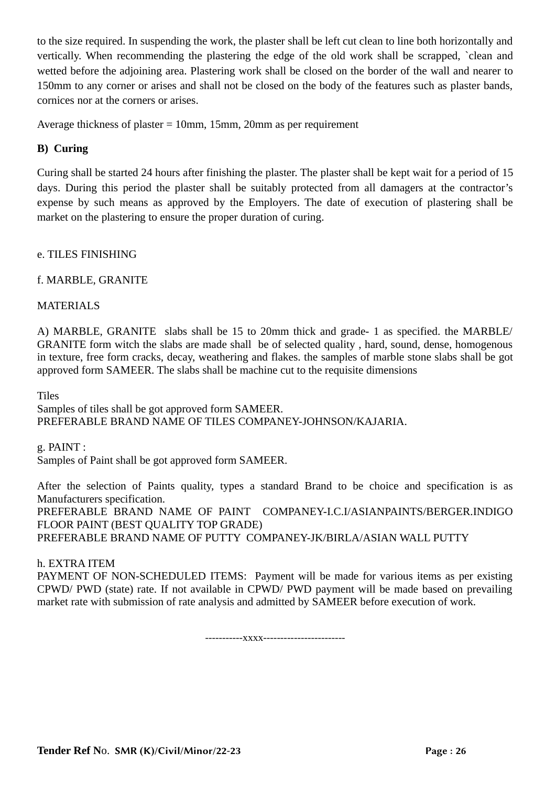to the size required. In suspending the work, the plaster shall be left cut clean to line both horizontally and vertically. When recommending the plastering the edge of the old work shall be scrapped, `clean and wetted before the adjoining area. Plastering work shall be closed on the border of the wall and nearer to 150mm to any corner or arises and shall not be closed on the body of the features such as plaster bands, cornices nor at the corners or arises.

Average thickness of plaster = 10mm, 15mm, 20mm as per requirement

#### **B) Curing**

Curing shall be started 24 hours after finishing the plaster. The plaster shall be kept wait for a period of 15 days. During this period the plaster shall be suitably protected from all damagers at the contractor's expense by such means as approved by the Employers. The date of execution of plastering shall be market on the plastering to ensure the proper duration of curing.

e. TILES FINISHING

f. MARBLE, GRANITE

MATERIALS

A) MARBLE, GRANITE slabs shall be 15 to 20mm thick and grade- 1 as specified. the MARBLE/ GRANITE form witch the slabs are made shall be of selected quality , hard, sound, dense, homogenous in texture, free form cracks, decay, weathering and flakes. the samples of marble stone slabs shall be got approved form SAMEER. The slabs shall be machine cut to the requisite dimensions

**Tiles** 

Samples of tiles shall be got approved form SAMEER. PREFERABLE BRAND NAME OF TILES COMPANEY-JOHNSON/KAJARIA.

g. PAINT :

Samples of Paint shall be got approved form SAMEER.

After the selection of Paints quality, types a standard Brand to be choice and specification is as Manufacturers specification. PREFERABLE BRAND NAME OF PAINT COMPANEY-I.C.I/ASIANPAINTS/BERGER.INDIGO FLOOR PAINT (BEST QUALITY TOP GRADE) PREFERABLE BRAND NAME OF PUTTY COMPANEY-JK/BIRLA/ASIAN WALL PUTTY

#### h. EXTRA ITEM

PAYMENT OF NON-SCHEDULED ITEMS: Payment will be made for various items as per existing CPWD/ PWD (state) rate. If not available in CPWD/ PWD payment will be made based on prevailing market rate with submission of rate analysis and admitted by SAMEER before execution of work.

-----------xxxx------------------------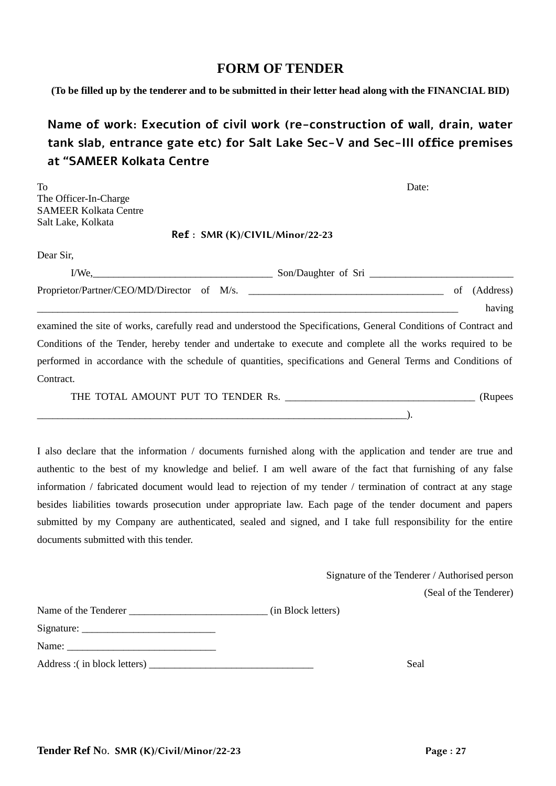#### **FORM OF TENDER**

**(To be filled up by the tenderer and to be submitted in their letter head along with the FINANCIAL BID)**

## **Name of work: Execution of civil work (re-construction of wall, drain, water tank slab, entrance gate etc) for Salt Lake Sec-V and Sec-III office premises at "SAMEER Kolkata Centre**

| To<br>The Officer-In-Charge<br><b>SAMEER Kolkata Centre</b><br>Salt Lake, Kolkata | Date:                                                                                                            |                           |
|-----------------------------------------------------------------------------------|------------------------------------------------------------------------------------------------------------------|---------------------------|
|                                                                                   | Ref: SMR (K)/CIVIL/Minor/22-23                                                                                   |                           |
| Dear Sir,                                                                         |                                                                                                                  |                           |
|                                                                                   |                                                                                                                  |                           |
|                                                                                   | Proprietor/Partner/CEO/MD/Director of M/s.                                                                       | (Address)<br>of<br>having |
|                                                                                   | examined the site of works, carefully read and understood the Specifications, General Conditions of Contract and |                           |
|                                                                                   | Conditions of the Tender, hereby tender and undertake to execute and complete all the works required to be       |                           |
|                                                                                   | performed in accordance with the schedule of quantities, specifications and General Terms and Conditions of      |                           |
| Contract.                                                                         |                                                                                                                  |                           |
|                                                                                   |                                                                                                                  | (Rupees                   |

I also declare that the information / documents furnished along with the application and tender are true and authentic to the best of my knowledge and belief. I am well aware of the fact that furnishing of any false information / fabricated document would lead to rejection of my tender / termination of contract at any stage besides liabilities towards prosecution under appropriate law. Each page of the tender document and papers submitted by my Company are authenticated, sealed and signed, and I take full responsibility for the entire documents submitted with this tender.

> Signature of the Tenderer / Authorised person (Seal of the Tenderer)

 $\Box$ 

| Name of the Tenderer         | (in Block letters) |
|------------------------------|--------------------|
|                              |                    |
|                              |                    |
| Address : (in block letters) | Seal               |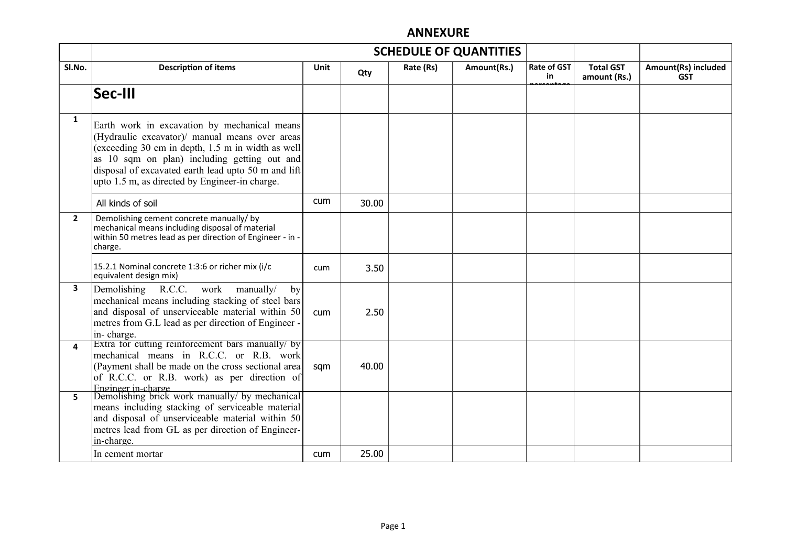### **ANNEXURE**

|                | <b>SCHEDULE OF QUANTITIES</b>                                                                                                                                                                                                                                                                                |             |       |           |             |                          |                                  |                                   |
|----------------|--------------------------------------------------------------------------------------------------------------------------------------------------------------------------------------------------------------------------------------------------------------------------------------------------------------|-------------|-------|-----------|-------------|--------------------------|----------------------------------|-----------------------------------|
| SI.No.         | <b>Description of items</b>                                                                                                                                                                                                                                                                                  | <b>Unit</b> | Qty   | Rate (Rs) | Amount(Rs.) | <b>Rate of GST</b><br>in | <b>Total GST</b><br>amount (Rs.) | Amount(Rs) included<br><b>GST</b> |
|                | Sec-III                                                                                                                                                                                                                                                                                                      |             |       |           |             |                          |                                  |                                   |
| 1              | Earth work in excavation by mechanical means<br>(Hydraulic excavator)/ manual means over areas<br>(exceeding 30 cm in depth, 1.5 m in width as well<br>as 10 sqm on plan) including getting out and<br>disposal of excavated earth lead upto 50 m and lift<br>upto 1.5 m, as directed by Engineer-in charge. |             |       |           |             |                          |                                  |                                   |
|                | All kinds of soil                                                                                                                                                                                                                                                                                            | cum         | 30.00 |           |             |                          |                                  |                                   |
| $\overline{2}$ | Demolishing cement concrete manually/ by<br>mechanical means including disposal of material<br>within 50 metres lead as per direction of Engineer - in -<br>charge.                                                                                                                                          |             |       |           |             |                          |                                  |                                   |
|                | 15.2.1 Nominal concrete 1:3:6 or richer mix (i/c<br>equivalent design mix)                                                                                                                                                                                                                                   | cum         | 3.50  |           |             |                          |                                  |                                   |
| 3              | Demolishing<br>R.C.C. work<br>manually/<br>by<br>mechanical means including stacking of steel bars<br>and disposal of unserviceable material within 50<br>metres from G.L lead as per direction of Engineer -<br>in-charge.                                                                                  | cum         | 2.50  |           |             |                          |                                  |                                   |
| 4              | Extra for cutting reinforcement bars manually/ by<br>mechanical means in R.C.C. or R.B. work<br>(Payment shall be made on the cross sectional area<br>of R.C.C. or R.B. work) as per direction of<br>Engineer in-charge                                                                                      | sqm         | 40.00 |           |             |                          |                                  |                                   |
| 5.             | Demolishing brick work manually/ by mechanical<br>means including stacking of serviceable material<br>and disposal of unserviceable material within 50<br>metres lead from GL as per direction of Engineer-<br>in-charge.                                                                                    |             |       |           |             |                          |                                  |                                   |
|                | In cement mortar                                                                                                                                                                                                                                                                                             | <b>cum</b>  | 25.00 |           |             |                          |                                  |                                   |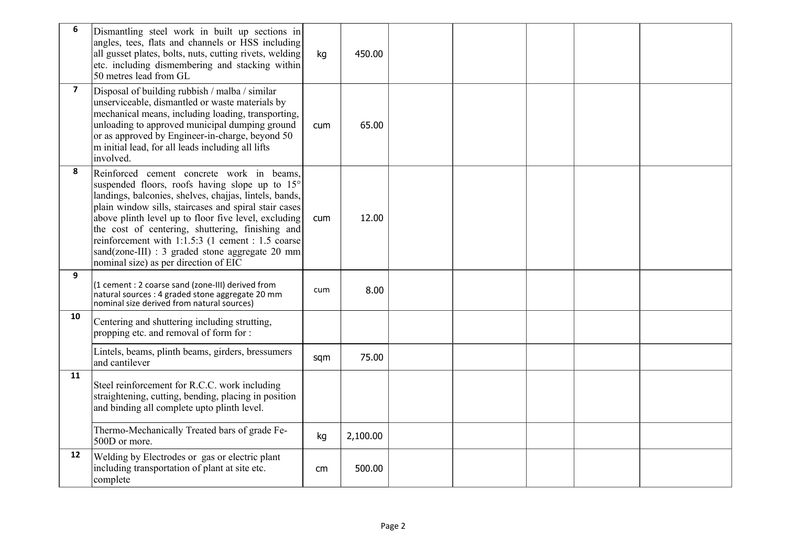| $\boldsymbol{6}$        | Dismantling steel work in built up sections in<br>angles, tees, flats and channels or HSS including<br>all gusset plates, bolts, nuts, cutting rivets, welding<br>etc. including dismembering and stacking within<br>50 metres lead from GL                                                                                                                                                                                                                                 | kg         | 450.00   |  |  |  |
|-------------------------|-----------------------------------------------------------------------------------------------------------------------------------------------------------------------------------------------------------------------------------------------------------------------------------------------------------------------------------------------------------------------------------------------------------------------------------------------------------------------------|------------|----------|--|--|--|
| $\overline{\mathbf{z}}$ | Disposal of building rubbish / malba / similar<br>unserviceable, dismantled or waste materials by<br>mechanical means, including loading, transporting,<br>unloading to approved municipal dumping ground<br>or as approved by Engineer-in-charge, beyond 50<br>m initial lead, for all leads including all lifts<br>involved.                                                                                                                                              | cum        | 65.00    |  |  |  |
| 8                       | Reinforced cement concrete work in beams,<br>suspended floors, roofs having slope up to 15°<br>landings, balconies, shelves, chajjas, lintels, bands,<br>plain window sills, staircases and spiral stair cases<br>above plinth level up to floor five level, excluding<br>the cost of centering, shuttering, finishing and<br>reinforcement with 1:1.5:3 (1 cement : 1.5 coarse<br>sand(zone-III) : 3 graded stone aggregate 20 mm<br>nominal size) as per direction of EIC | <b>cum</b> | 12.00    |  |  |  |
| 9                       | (1 cement : 2 coarse sand (zone-III) derived from<br>natural sources : 4 graded stone aggregate 20 mm<br>nominal size derived from natural sources)                                                                                                                                                                                                                                                                                                                         | cum        | 8.00     |  |  |  |
| 10                      | Centering and shuttering including strutting,<br>propping etc. and removal of form for :                                                                                                                                                                                                                                                                                                                                                                                    |            |          |  |  |  |
|                         | Lintels, beams, plinth beams, girders, bressumers<br>and cantilever                                                                                                                                                                                                                                                                                                                                                                                                         | sqm        | 75.00    |  |  |  |
| 11                      | Steel reinforcement for R.C.C. work including<br>straightening, cutting, bending, placing in position<br>and binding all complete upto plinth level.                                                                                                                                                                                                                                                                                                                        |            |          |  |  |  |
|                         | Thermo-Mechanically Treated bars of grade Fe-<br>500D or more.                                                                                                                                                                                                                                                                                                                                                                                                              | kg         | 2,100.00 |  |  |  |
| 12                      | Welding by Electrodes or gas or electric plant<br>including transportation of plant at site etc.<br>complete                                                                                                                                                                                                                                                                                                                                                                | cm         | 500.00   |  |  |  |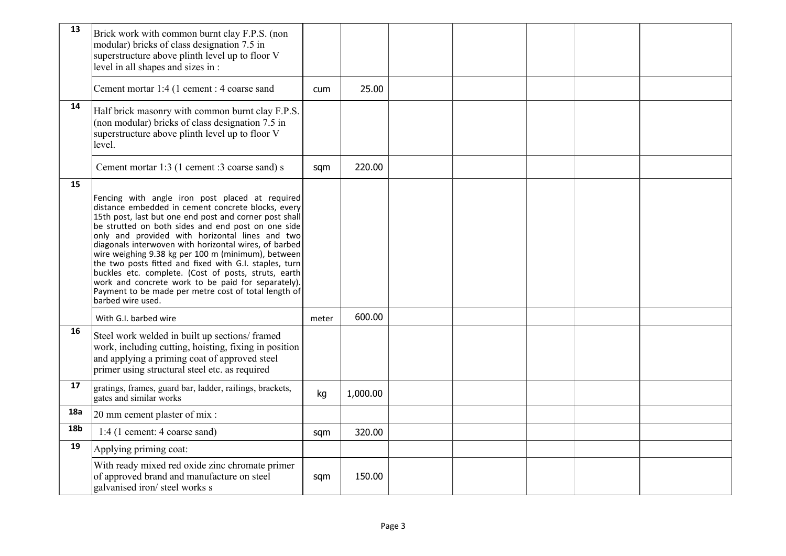| 13         | Brick work with common burnt clay F.P.S. (non<br>modular) bricks of class designation 7.5 in<br>superstructure above plinth level up to floor V<br>level in all shapes and sizes in :                                                                                                                                                                                                                                                                                                                                                                                                                                                        |       |          |  |  |  |
|------------|----------------------------------------------------------------------------------------------------------------------------------------------------------------------------------------------------------------------------------------------------------------------------------------------------------------------------------------------------------------------------------------------------------------------------------------------------------------------------------------------------------------------------------------------------------------------------------------------------------------------------------------------|-------|----------|--|--|--|
|            | Cement mortar 1:4 (1 cement : 4 coarse sand                                                                                                                                                                                                                                                                                                                                                                                                                                                                                                                                                                                                  | cum   | 25.00    |  |  |  |
| 14         | Half brick masonry with common burnt clay F.P.S.<br>(non modular) bricks of class designation 7.5 in<br>superstructure above plinth level up to floor V<br>level.                                                                                                                                                                                                                                                                                                                                                                                                                                                                            |       |          |  |  |  |
|            | Cement mortar 1:3 (1 cement :3 coarse sand) s                                                                                                                                                                                                                                                                                                                                                                                                                                                                                                                                                                                                | sqm   | 220.00   |  |  |  |
| 15         | Fencing with angle iron post placed at required<br>distance embedded in cement concrete blocks, every<br>15th post, last but one end post and corner post shall<br>be strutted on both sides and end post on one side<br>only and provided with horizontal lines and two<br>diagonals interwoven with horizontal wires, of barbed<br>wire weighing 9.38 kg per 100 m (minimum), between<br>the two posts fitted and fixed with G.I. staples, turn<br>buckles etc. complete. (Cost of posts, struts, earth<br>work and concrete work to be paid for separately).<br>Payment to be made per metre cost of total length of<br>barbed wire used. |       |          |  |  |  |
|            | With G.I. barbed wire                                                                                                                                                                                                                                                                                                                                                                                                                                                                                                                                                                                                                        | meter | 600.00   |  |  |  |
| 16         | Steel work welded in built up sections/framed<br>work, including cutting, hoisting, fixing in position<br>and applying a priming coat of approved steel<br>primer using structural steel etc. as required                                                                                                                                                                                                                                                                                                                                                                                                                                    |       |          |  |  |  |
| 17         | gratings, frames, guard bar, ladder, railings, brackets,<br>gates and similar works                                                                                                                                                                                                                                                                                                                                                                                                                                                                                                                                                          | kg    | 1,000.00 |  |  |  |
| 18a        | 20 mm cement plaster of mix :                                                                                                                                                                                                                                                                                                                                                                                                                                                                                                                                                                                                                |       |          |  |  |  |
| <b>18b</b> | 1:4 (1 cement: 4 coarse sand)                                                                                                                                                                                                                                                                                                                                                                                                                                                                                                                                                                                                                | sqm   | 320.00   |  |  |  |
| 19         | Applying priming coat:                                                                                                                                                                                                                                                                                                                                                                                                                                                                                                                                                                                                                       |       |          |  |  |  |
|            | With ready mixed red oxide zinc chromate primer<br>of approved brand and manufacture on steel<br>galvanised iron/steel works s                                                                                                                                                                                                                                                                                                                                                                                                                                                                                                               | sqm   | 150.00   |  |  |  |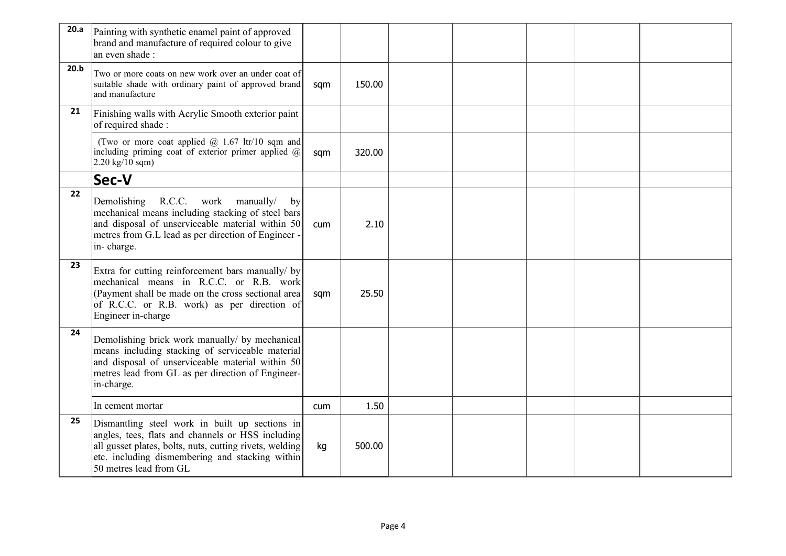| 20.a | Painting with synthetic enamel paint of approved<br>brand and manufacture of required colour to give<br>an even shade:                                                                                                                      |     |        |  |  |  |
|------|---------------------------------------------------------------------------------------------------------------------------------------------------------------------------------------------------------------------------------------------|-----|--------|--|--|--|
| 20.b | Two or more coats on new work over an under coat of<br>suitable shade with ordinary paint of approved brand<br>and manufacture                                                                                                              | sqm | 150.00 |  |  |  |
| 21   | Finishing walls with Acrylic Smooth exterior paint<br>of required shade:                                                                                                                                                                    |     |        |  |  |  |
|      | (Two or more coat applied $@$ 1.67 ltr/10 sqm and<br>including priming coat of exterior primer applied @<br>$2.20 \text{ kg}/10 \text{ sqm}$ )                                                                                              | sqm | 320.00 |  |  |  |
|      | Sec-V                                                                                                                                                                                                                                       |     |        |  |  |  |
| 22   | Demolishing<br>R.C.C. work manually/<br>by<br>mechanical means including stacking of steel bars<br>and disposal of unserviceable material within 50<br>metres from G.L lead as per direction of Engineer -<br>in-charge.                    | cum | 2.10   |  |  |  |
| 23   | Extra for cutting reinforcement bars manually/ by<br>mechanical means in R.C.C. or R.B. work<br>(Payment shall be made on the cross sectional area<br>of R.C.C. or R.B. work) as per direction of<br>Engineer in-charge                     | sqm | 25.50  |  |  |  |
| 24   | Demolishing brick work manually/ by mechanical<br>means including stacking of serviceable material<br>and disposal of unserviceable material within 50<br>metres lead from GL as per direction of Engineer-<br>in-charge.                   |     |        |  |  |  |
|      | In cement mortar                                                                                                                                                                                                                            | cum | 1.50   |  |  |  |
| 25   | Dismantling steel work in built up sections in<br>angles, tees, flats and channels or HSS including<br>all gusset plates, bolts, nuts, cutting rivets, welding<br>etc. including dismembering and stacking within<br>50 metres lead from GL | kg  | 500.00 |  |  |  |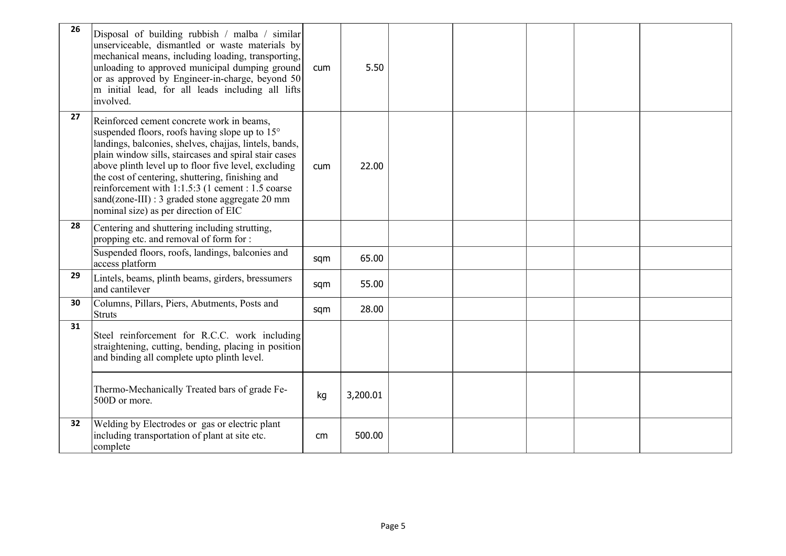| 26 | Disposal of building rubbish / malba / similar<br>unserviceable, dismantled or waste materials by<br>mechanical means, including loading, transporting,<br>unloading to approved municipal dumping ground<br>or as approved by Engineer-in-charge, beyond 50<br>m initial lead, for all leads including all lifts<br>involved.                                                                                                                                              | cum | 5.50     |  |  |  |
|----|-----------------------------------------------------------------------------------------------------------------------------------------------------------------------------------------------------------------------------------------------------------------------------------------------------------------------------------------------------------------------------------------------------------------------------------------------------------------------------|-----|----------|--|--|--|
| 27 | Reinforced cement concrete work in beams,<br>suspended floors, roofs having slope up to 15°<br>landings, balconies, shelves, chajjas, lintels, bands,<br>plain window sills, staircases and spiral stair cases<br>above plinth level up to floor five level, excluding<br>the cost of centering, shuttering, finishing and<br>reinforcement with 1:1.5:3 (1 cement : 1.5 coarse<br>sand(zone-III) : 3 graded stone aggregate 20 mm<br>nominal size) as per direction of EIC | cum | 22.00    |  |  |  |
| 28 | Centering and shuttering including strutting,<br>propping etc. and removal of form for :                                                                                                                                                                                                                                                                                                                                                                                    |     |          |  |  |  |
|    | Suspended floors, roofs, landings, balconies and<br>access platform                                                                                                                                                                                                                                                                                                                                                                                                         | sqm | 65.00    |  |  |  |
| 29 | Lintels, beams, plinth beams, girders, bressumers<br>and cantilever                                                                                                                                                                                                                                                                                                                                                                                                         | sqm | 55.00    |  |  |  |
| 30 | Columns, Pillars, Piers, Abutments, Posts and<br>Struts                                                                                                                                                                                                                                                                                                                                                                                                                     | sqm | 28.00    |  |  |  |
| 31 | Steel reinforcement for R.C.C. work including<br>straightening, cutting, bending, placing in position<br>and binding all complete upto plinth level.                                                                                                                                                                                                                                                                                                                        |     |          |  |  |  |
|    | Thermo-Mechanically Treated bars of grade Fe-<br>500D or more.                                                                                                                                                                                                                                                                                                                                                                                                              | kg  | 3,200.01 |  |  |  |
| 32 | Welding by Electrodes or gas or electric plant<br>including transportation of plant at site etc.<br>complete                                                                                                                                                                                                                                                                                                                                                                | cm  | 500.00   |  |  |  |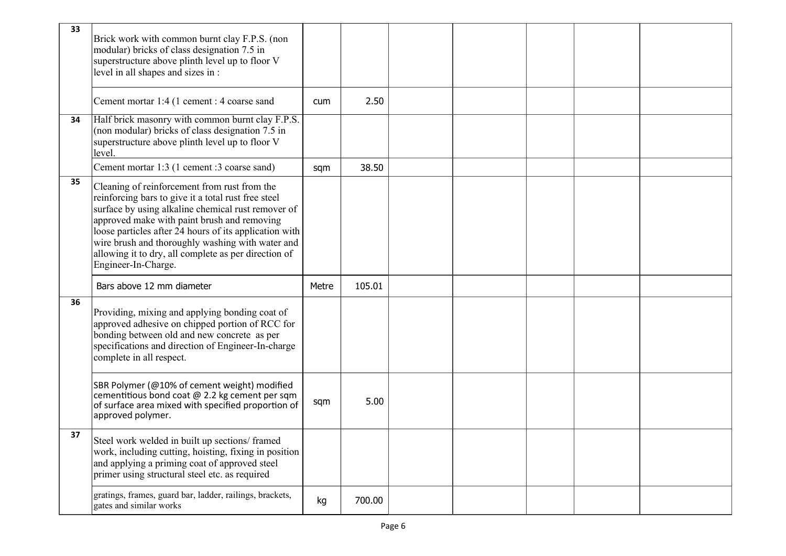| 33 | Brick work with common burnt clay F.P.S. (non<br>modular) bricks of class designation 7.5 in<br>superstructure above plinth level up to floor V<br>level in all shapes and sizes in:                                                                                                                                                                                                                  |       |        |  |  |  |
|----|-------------------------------------------------------------------------------------------------------------------------------------------------------------------------------------------------------------------------------------------------------------------------------------------------------------------------------------------------------------------------------------------------------|-------|--------|--|--|--|
|    | Cement mortar 1:4 (1 cement : 4 coarse sand                                                                                                                                                                                                                                                                                                                                                           | cum   | 2.50   |  |  |  |
| 34 | Half brick masonry with common burnt clay F.P.S.<br>(non modular) bricks of class designation 7.5 in<br>superstructure above plinth level up to floor V<br>level.                                                                                                                                                                                                                                     |       |        |  |  |  |
|    | Cement mortar 1:3 (1 cement :3 coarse sand)                                                                                                                                                                                                                                                                                                                                                           | sqm   | 38.50  |  |  |  |
| 35 | Cleaning of reinforcement from rust from the<br>reinforcing bars to give it a total rust free steel<br>surface by using alkaline chemical rust remover of<br>approved make with paint brush and removing<br>loose particles after 24 hours of its application with<br>wire brush and thoroughly washing with water and<br>allowing it to dry, all complete as per direction of<br>Engineer-In-Charge. |       |        |  |  |  |
|    | Bars above 12 mm diameter                                                                                                                                                                                                                                                                                                                                                                             | Metre | 105.01 |  |  |  |
| 36 | Providing, mixing and applying bonding coat of<br>approved adhesive on chipped portion of RCC for<br>bonding between old and new concrete as per<br>specifications and direction of Engineer-In-charge<br>complete in all respect.                                                                                                                                                                    |       |        |  |  |  |
|    | SBR Polymer (@10% of cement weight) modified<br>cementitious bond coat @ 2.2 kg cement per sqm<br>of surface area mixed with specified proportion of<br>approved polymer.                                                                                                                                                                                                                             | sqm   | 5.00   |  |  |  |
| 37 | Steel work welded in built up sections/ framed<br>work, including cutting, hoisting, fixing in position<br>and applying a priming coat of approved steel<br>primer using structural steel etc. as required                                                                                                                                                                                            |       |        |  |  |  |
|    | gratings, frames, guard bar, ladder, railings, brackets,<br>gates and similar works                                                                                                                                                                                                                                                                                                                   | kg    | 700.00 |  |  |  |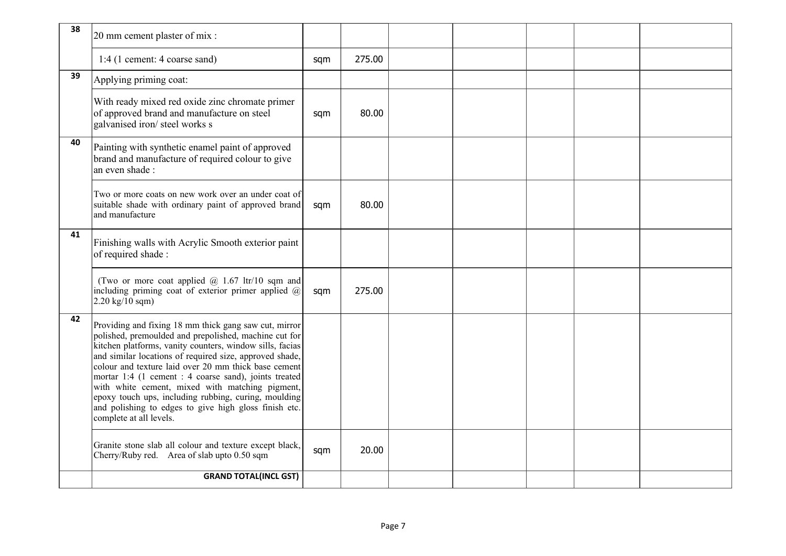| 38 | 20 mm cement plaster of mix :                                                                                                                                                                                                                                                                                                                                                                                                                                                                                                                         |     |        |  |  |  |
|----|-------------------------------------------------------------------------------------------------------------------------------------------------------------------------------------------------------------------------------------------------------------------------------------------------------------------------------------------------------------------------------------------------------------------------------------------------------------------------------------------------------------------------------------------------------|-----|--------|--|--|--|
|    | 1:4 (1 cement: 4 coarse sand)                                                                                                                                                                                                                                                                                                                                                                                                                                                                                                                         | sqm | 275.00 |  |  |  |
| 39 | Applying priming coat:                                                                                                                                                                                                                                                                                                                                                                                                                                                                                                                                |     |        |  |  |  |
|    | With ready mixed red oxide zinc chromate primer<br>of approved brand and manufacture on steel<br>galvanised iron/steel works s                                                                                                                                                                                                                                                                                                                                                                                                                        | sqm | 80.00  |  |  |  |
| 40 | Painting with synthetic enamel paint of approved<br>brand and manufacture of required colour to give<br>an even shade :                                                                                                                                                                                                                                                                                                                                                                                                                               |     |        |  |  |  |
|    | Two or more coats on new work over an under coat of<br>suitable shade with ordinary paint of approved brand<br>and manufacture                                                                                                                                                                                                                                                                                                                                                                                                                        | sqm | 80.00  |  |  |  |
| 41 | Finishing walls with Acrylic Smooth exterior paint<br>of required shade:                                                                                                                                                                                                                                                                                                                                                                                                                                                                              |     |        |  |  |  |
|    | (Two or more coat applied $\omega$ 1.67 ltr/10 sqm and<br>including priming coat of exterior primer applied $(a)$<br>$2.20 \text{ kg}/10 \text{ sqm}$                                                                                                                                                                                                                                                                                                                                                                                                 | sqm | 275.00 |  |  |  |
| 42 | Providing and fixing 18 mm thick gang saw cut, mirror<br>polished, premoulded and prepolished, machine cut for<br>kitchen platforms, vanity counters, window sills, facias<br>and similar locations of required size, approved shade,<br>colour and texture laid over 20 mm thick base cement<br>mortar 1:4 (1 cement : 4 coarse sand), joints treated<br>with white cement, mixed with matching pigment,<br>epoxy touch ups, including rubbing, curing, moulding<br>and polishing to edges to give high gloss finish etc.<br>complete at all levels. |     |        |  |  |  |
|    | Granite stone slab all colour and texture except black,<br>Cherry/Ruby red. Area of slab upto 0.50 sqm                                                                                                                                                                                                                                                                                                                                                                                                                                                | sqm | 20.00  |  |  |  |
|    | <b>GRAND TOTAL(INCL GST)</b>                                                                                                                                                                                                                                                                                                                                                                                                                                                                                                                          |     |        |  |  |  |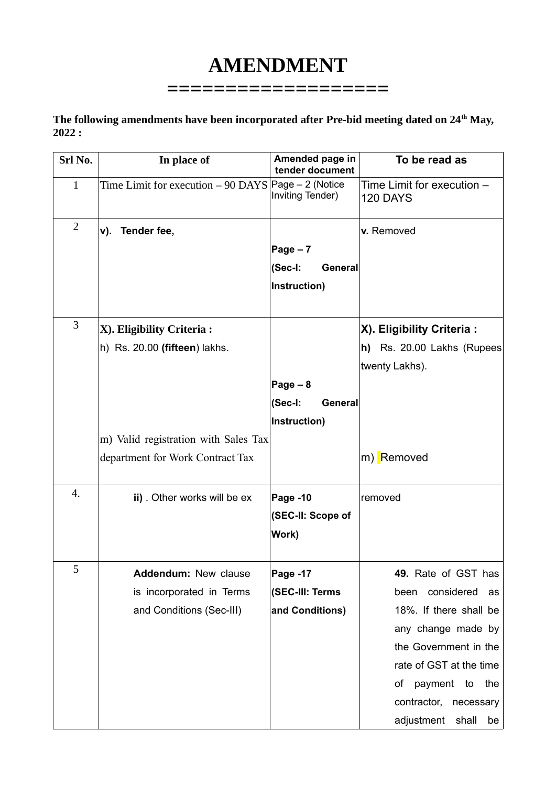# **AMENDMENT**

**===================**

### **The following amendments have been incorporated after Pre-bid meeting dated on 24th May, 2022 :**

| Srl No.        | In place of                                                 | Amended page in<br>tender document              | To be read as                                                                                                                                                                  |
|----------------|-------------------------------------------------------------|-------------------------------------------------|--------------------------------------------------------------------------------------------------------------------------------------------------------------------------------|
| $\mathbf{1}$   | Time Limit for execution - 90 DAYS Page - 2 (Notice         | Inviting Tender)                                | Time Limit for execution -<br>120 DAYS                                                                                                                                         |
| $\overline{2}$ | Tender fee,<br>v).                                          | Page $-7$<br>(Sec-I:<br>General<br>Instruction) | v. Removed                                                                                                                                                                     |
| 3              | X). Eligibility Criteria :<br>h) Rs. 20.00 (fifteen) lakhs. | Page $-8$<br>(Sec-I:<br>General<br>Instruction) | X). Eligibility Criteria :<br>h) Rs. 20.00 Lakhs (Rupees<br>twenty Lakhs).                                                                                                     |
|                | m) Valid registration with Sales Tax                        |                                                 |                                                                                                                                                                                |
|                | department for Work Contract Tax                            |                                                 | m) Removed                                                                                                                                                                     |
| 4.             | ii). Other works will be ex                                 | Page -10<br>(SEC-II: Scope of<br>Work)          | removed                                                                                                                                                                        |
| 5              | <b>Addendum: New clause</b>                                 | Page -17                                        | 49. Rate of GST has                                                                                                                                                            |
|                | is incorporated in Terms                                    | (SEC-III: Terms                                 | been considered as                                                                                                                                                             |
|                | and Conditions (Sec-III)                                    | and Conditions)                                 | 18%. If there shall be<br>any change made by<br>the Government in the<br>rate of GST at the time<br>of payment to<br>the<br>contractor, necessary<br>adjustment<br>shall<br>be |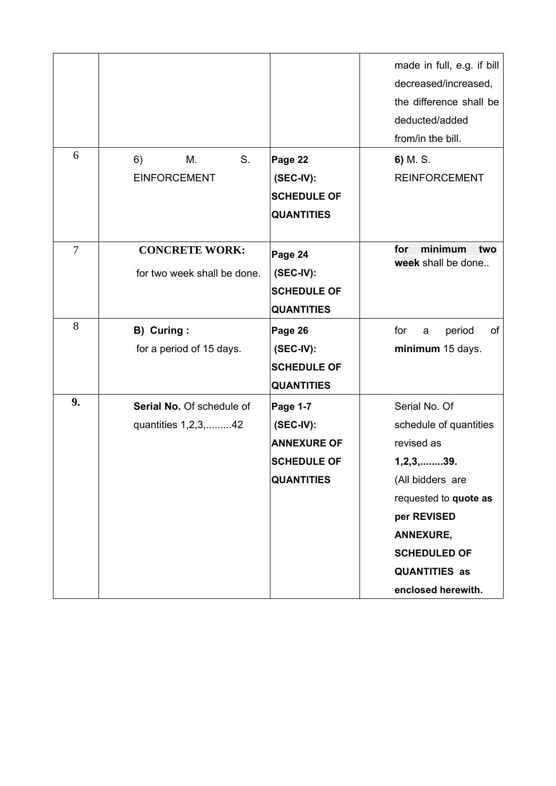|    |                                                      |                                                                                                 | made in full, e.g. if bill<br>decreased/increased,<br>the difference shall be<br>deducted/added<br>from/in the bill.                                                                                                         |
|----|------------------------------------------------------|-------------------------------------------------------------------------------------------------|------------------------------------------------------------------------------------------------------------------------------------------------------------------------------------------------------------------------------|
| 6  | S.<br>6)<br>М.<br><b>EINFORCEMENT</b>                | Page 22<br>$(SEC-IV):$<br><b>SCHEDULE OF</b><br><b>QUANTITIES</b>                               | 6) M.S.<br><b>REINFORCEMENT</b>                                                                                                                                                                                              |
| 7  | <b>CONCRETE WORK:</b><br>for two week shall be done. | Page 24<br>(SEC-IV):<br><b>SCHEDULE OF</b><br><b>QUANTITIES</b>                                 | minimum<br>for<br>two<br>week shall be done                                                                                                                                                                                  |
| 8  | B) Curing:<br>for a period of 15 days.               | Page 26<br>$(SEC-IV):$<br><b>SCHEDULE OF</b><br><b>QUANTITIES</b>                               | for<br>period<br>of<br>$\mathsf{a}$<br>minimum 15 days.                                                                                                                                                                      |
| 9. | Serial No. Of schedule of<br>quantities 1,2,3,42     | <b>Page 1-7</b><br>$(SEC-IV):$<br><b>ANNEXURE OF</b><br><b>SCHEDULE OF</b><br><b>QUANTITIES</b> | Serial No. Of<br>schedule of quantities<br>revised as<br>$1, 2, 3, \ldots 39.$<br>(All bidders are<br>requested to quote as<br>per REVISED<br>ANNEXURE,<br><b>SCHEDULED OF</b><br><b>QUANTITIES as</b><br>enclosed herewith. |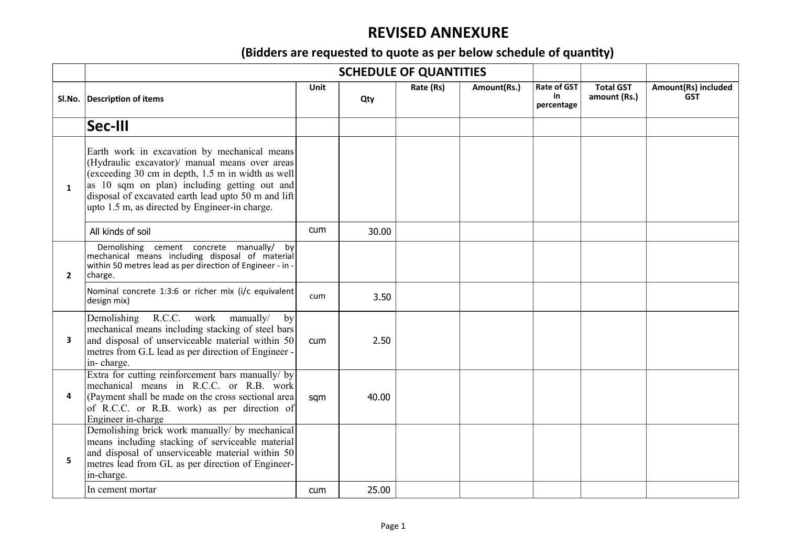## **REVISED ANNEXURE**

## **(Bidders are requested to quote as per below schedule of quantity)**

|              |                                                                                                                                                                                                                                                                                                              |            |       | <b>SCHEDULE OF QUANTITIES</b> |             |                                        |                                  |                                   |
|--------------|--------------------------------------------------------------------------------------------------------------------------------------------------------------------------------------------------------------------------------------------------------------------------------------------------------------|------------|-------|-------------------------------|-------------|----------------------------------------|----------------------------------|-----------------------------------|
|              | SI.No. Description of items                                                                                                                                                                                                                                                                                  | Unit       | Qty   | Rate (Rs)                     | Amount(Rs.) | <b>Rate of GST</b><br>in<br>percentage | <b>Total GST</b><br>amount (Rs.) | Amount(Rs) included<br><b>GST</b> |
|              | Sec-III                                                                                                                                                                                                                                                                                                      |            |       |                               |             |                                        |                                  |                                   |
| $\mathbf{1}$ | Earth work in excavation by mechanical means<br>(Hydraulic excavator)/ manual means over areas<br>(exceeding 30 cm in depth, 1.5 m in width as well<br>as 10 sqm on plan) including getting out and<br>disposal of excavated earth lead upto 50 m and lift<br>upto 1.5 m, as directed by Engineer-in charge. |            |       |                               |             |                                        |                                  |                                   |
|              | All kinds of soil                                                                                                                                                                                                                                                                                            | <b>cum</b> | 30.00 |                               |             |                                        |                                  |                                   |
| $\mathbf{2}$ | Demolishing cement concrete manually/ by<br>mechanical means including disposal of material<br>within 50 metres lead as per direction of Engineer - in -<br>charge.                                                                                                                                          |            |       |                               |             |                                        |                                  |                                   |
|              | Nominal concrete 1:3:6 or richer mix (i/c equivalent<br>design mix)                                                                                                                                                                                                                                          | cum        | 3.50  |                               |             |                                        |                                  |                                   |
| 3            | R.C.C.<br>Demolishing<br>work<br>manually/<br>by<br>mechanical means including stacking of steel bars<br>and disposal of unserviceable material within 50<br>metres from G.L lead as per direction of Engineer -<br>in-charge.                                                                               | cum        | 2.50  |                               |             |                                        |                                  |                                   |
| 4            | Extra for cutting reinforcement bars manually/ by<br>mechanical means in R.C.C. or R.B. work<br>(Payment shall be made on the cross sectional area)<br>of R.C.C. or R.B. work) as per direction of<br>Engineer in-charge                                                                                     | sqm        | 40.00 |                               |             |                                        |                                  |                                   |
| 5.           | Demolishing brick work manually/ by mechanical<br>means including stacking of serviceable material<br>and disposal of unserviceable material within 50<br>metres lead from GL as per direction of Engineer-<br>in-charge.                                                                                    |            |       |                               |             |                                        |                                  |                                   |
|              | In cement mortar                                                                                                                                                                                                                                                                                             | cum        | 25.00 |                               |             |                                        |                                  |                                   |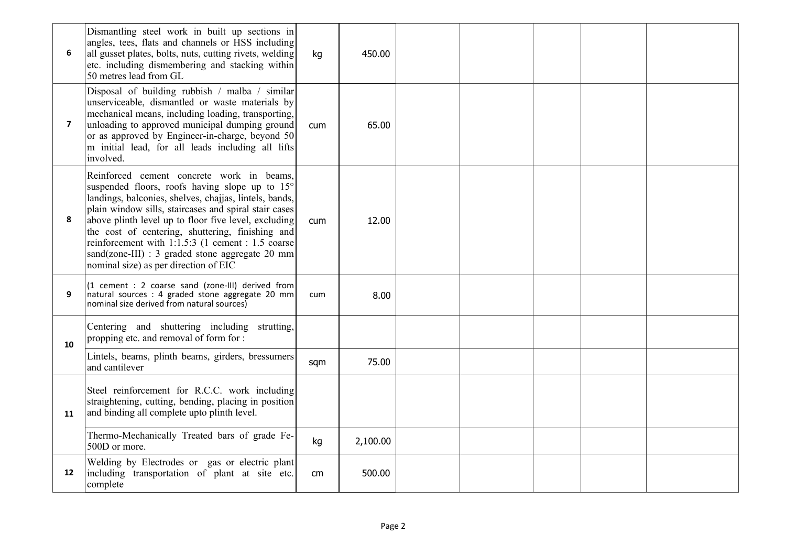| 6              | Dismantling steel work in built up sections in<br>angles, tees, flats and channels or HSS including<br>all gusset plates, bolts, nuts, cutting rivets, welding<br>etc. including dismembering and stacking within<br>50 metres lead from GL                                                                                                                                                                                                                                 | kg         | 450.00   |  |  |  |
|----------------|-----------------------------------------------------------------------------------------------------------------------------------------------------------------------------------------------------------------------------------------------------------------------------------------------------------------------------------------------------------------------------------------------------------------------------------------------------------------------------|------------|----------|--|--|--|
| $\overline{7}$ | Disposal of building rubbish / malba / similar<br>unserviceable, dismantled or waste materials by<br>mechanical means, including loading, transporting,<br>unloading to approved municipal dumping ground<br>or as approved by Engineer-in-charge, beyond 50<br>m initial lead, for all leads including all lifts<br>involved.                                                                                                                                              | cum        | 65.00    |  |  |  |
| 8              | Reinforced cement concrete work in beams,<br>suspended floors, roofs having slope up to 15°<br>landings, balconies, shelves, chajjas, lintels, bands,<br>plain window sills, staircases and spiral stair cases<br>above plinth level up to floor five level, excluding<br>the cost of centering, shuttering, finishing and<br>reinforcement with 1:1.5:3 (1 cement : 1.5 coarse<br>sand(zone-III) : 3 graded stone aggregate 20 mm<br>nominal size) as per direction of EIC | <b>cum</b> | 12.00    |  |  |  |
| 9              | (1 cement : 2 coarse sand (zone-III) derived from<br>natural sources : 4 graded stone aggregate 20 mm<br>nominal size derived from natural sources)                                                                                                                                                                                                                                                                                                                         | cum        | 8.00     |  |  |  |
| 10             | Centering and shuttering including strutting,<br>propping etc. and removal of form for :                                                                                                                                                                                                                                                                                                                                                                                    |            |          |  |  |  |
|                | Lintels, beams, plinth beams, girders, bressumers<br>and cantilever                                                                                                                                                                                                                                                                                                                                                                                                         | sqm        | 75.00    |  |  |  |
| 11             | Steel reinforcement for R.C.C. work including<br>straightening, cutting, bending, placing in position<br>and binding all complete upto plinth level.                                                                                                                                                                                                                                                                                                                        |            |          |  |  |  |
|                | Thermo-Mechanically Treated bars of grade Fe-<br>500D or more.                                                                                                                                                                                                                                                                                                                                                                                                              | kg         | 2,100.00 |  |  |  |
| 12             | Welding by Electrodes or gas or electric plant<br>including transportation of plant at site etc.<br>complete                                                                                                                                                                                                                                                                                                                                                                | cm         | 500.00   |  |  |  |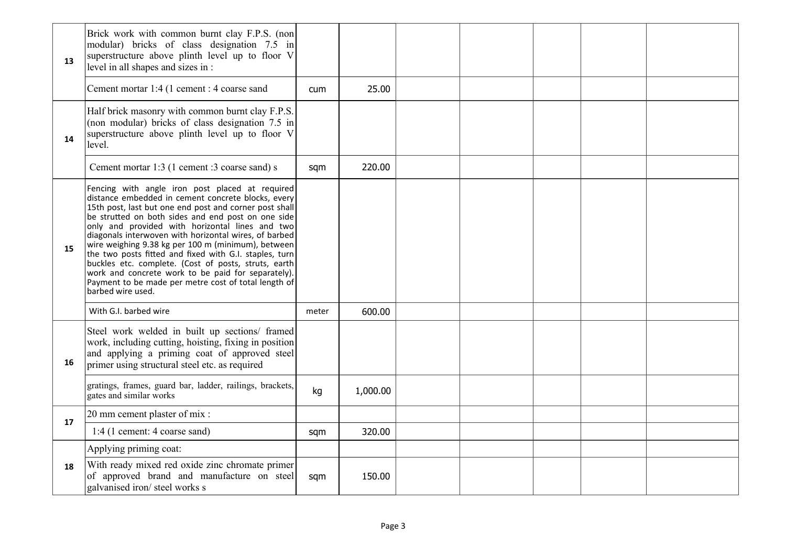| 13 | Brick work with common burnt clay F.P.S. (non<br>modular) bricks of class designation 7.5 in<br>superstructure above plinth level up to floor V<br>level in all shapes and sizes in :                                                                                                                                                                                                                                                                                                                                                                                                                                                        |            |          |  |  |  |
|----|----------------------------------------------------------------------------------------------------------------------------------------------------------------------------------------------------------------------------------------------------------------------------------------------------------------------------------------------------------------------------------------------------------------------------------------------------------------------------------------------------------------------------------------------------------------------------------------------------------------------------------------------|------------|----------|--|--|--|
|    | Cement mortar 1:4 (1 cement : 4 coarse sand                                                                                                                                                                                                                                                                                                                                                                                                                                                                                                                                                                                                  | <b>cum</b> | 25.00    |  |  |  |
| 14 | Half brick masonry with common burnt clay F.P.S.<br>(non modular) bricks of class designation 7.5 in<br>superstructure above plinth level up to floor V<br>level.                                                                                                                                                                                                                                                                                                                                                                                                                                                                            |            |          |  |  |  |
|    | Cement mortar 1:3 (1 cement :3 coarse sand) s                                                                                                                                                                                                                                                                                                                                                                                                                                                                                                                                                                                                | sam        | 220.00   |  |  |  |
| 15 | Fencing with angle iron post placed at required<br>distance embedded in cement concrete blocks, every<br>15th post, last but one end post and corner post shall<br>be strutted on both sides and end post on one side<br>only and provided with horizontal lines and two<br>diagonals interwoven with horizontal wires, of barbed<br>wire weighing 9.38 kg per 100 m (minimum), between<br>the two posts fitted and fixed with G.I. staples, turn<br>buckles etc. complete. (Cost of posts, struts, earth<br>work and concrete work to be paid for separately).<br>Payment to be made per metre cost of total length of<br>barbed wire used. |            |          |  |  |  |
|    | With G.I. barbed wire                                                                                                                                                                                                                                                                                                                                                                                                                                                                                                                                                                                                                        | meter      | 600.00   |  |  |  |
| 16 | Steel work welded in built up sections/ framed<br>work, including cutting, hoisting, fixing in position<br>and applying a priming coat of approved steel<br>primer using structural steel etc. as required                                                                                                                                                                                                                                                                                                                                                                                                                                   |            |          |  |  |  |
|    | gratings, frames, guard bar, ladder, railings, brackets,<br>gates and similar works                                                                                                                                                                                                                                                                                                                                                                                                                                                                                                                                                          | kg         | 1,000.00 |  |  |  |
| 17 | 20 mm cement plaster of mix :                                                                                                                                                                                                                                                                                                                                                                                                                                                                                                                                                                                                                |            |          |  |  |  |
|    | 1:4 (1 cement: 4 coarse sand)                                                                                                                                                                                                                                                                                                                                                                                                                                                                                                                                                                                                                | sqm        | 320.00   |  |  |  |
|    | Applying priming coat:                                                                                                                                                                                                                                                                                                                                                                                                                                                                                                                                                                                                                       |            |          |  |  |  |
| 18 | With ready mixed red oxide zinc chromate primer<br>of approved brand and manufacture on steel<br>galvanised iron/ steel works s                                                                                                                                                                                                                                                                                                                                                                                                                                                                                                              | sqm        | 150.00   |  |  |  |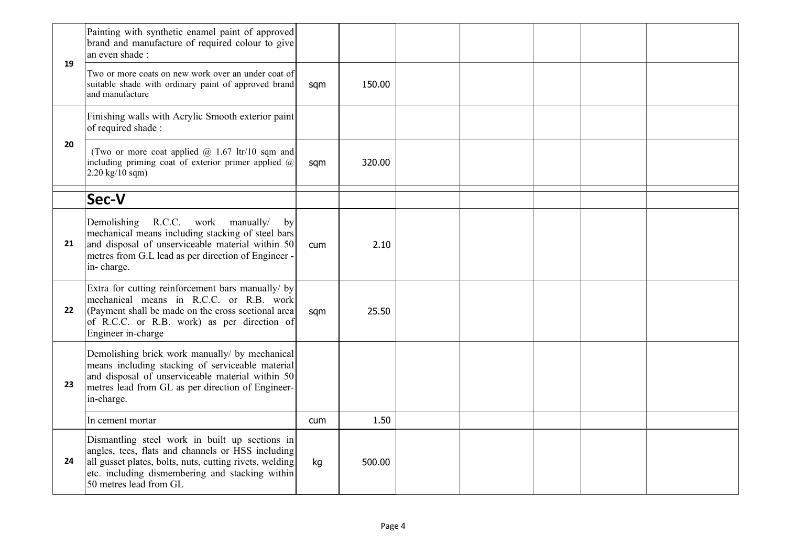|    | Painting with synthetic enamel paint of approved<br>brand and manufacture of required colour to give<br>an even shade :                                                                                                                     |     |        |  |  |  |
|----|---------------------------------------------------------------------------------------------------------------------------------------------------------------------------------------------------------------------------------------------|-----|--------|--|--|--|
| 19 | Two or more coats on new work over an under coat of<br>suitable shade with ordinary paint of approved brand<br>and manufacture                                                                                                              | sqm | 150.00 |  |  |  |
|    | Finishing walls with Acrylic Smooth exterior paint<br>of required shade:                                                                                                                                                                    |     |        |  |  |  |
| 20 | (Two or more coat applied $@$ 1.67 ltr/10 sqm and<br>including priming coat of exterior primer applied $(a)$<br>$2.20 \text{ kg}/10 \text{ sqm}$                                                                                            | sqm | 320.00 |  |  |  |
|    | Sec-V                                                                                                                                                                                                                                       |     |        |  |  |  |
| 21 | R.C.C. work manually/<br>Demolishing<br>by<br>mechanical means including stacking of steel bars<br>and disposal of unserviceable material within 50<br>metres from G.L lead as per direction of Engineer -<br>in-charge.                    | cum | 2.10   |  |  |  |
| 22 | Extra for cutting reinforcement bars manually/ by<br>mechanical means in R.C.C. or R.B. work<br>(Payment shall be made on the cross sectional area)<br>of R.C.C. or R.B. work) as per direction of<br>Engineer in-charge                    | sqm | 25.50  |  |  |  |
| 23 | Demolishing brick work manually/ by mechanical<br>means including stacking of serviceable material<br>and disposal of unserviceable material within 50<br>metres lead from GL as per direction of Engineer-<br>in-charge.                   |     |        |  |  |  |
|    | In cement mortar                                                                                                                                                                                                                            | cum | 1.50   |  |  |  |
| 24 | Dismantling steel work in built up sections in<br>angles, tees, flats and channels or HSS including<br>all gusset plates, bolts, nuts, cutting rivets, welding<br>etc. including dismembering and stacking within<br>50 metres lead from GL | kg  | 500.00 |  |  |  |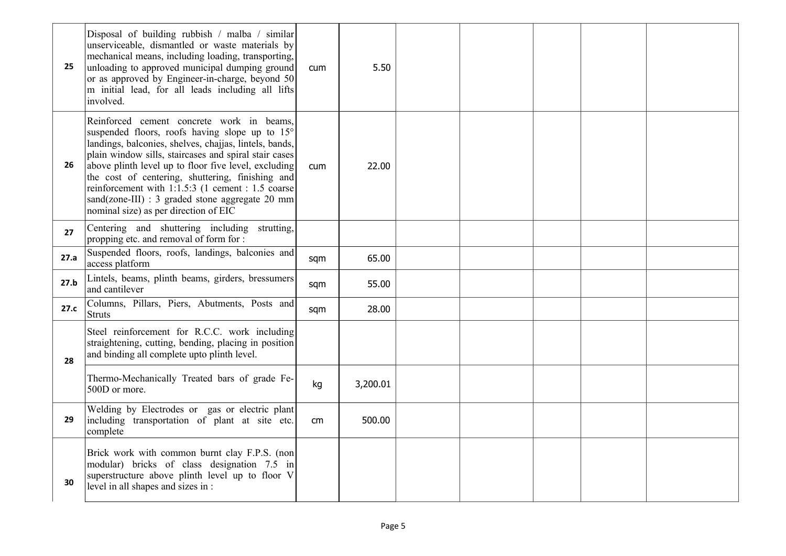| 25   | Disposal of building rubbish / malba / similar<br>unserviceable, dismantled or waste materials by<br>mechanical means, including loading, transporting,<br>unloading to approved municipal dumping ground<br>or as approved by Engineer-in-charge, beyond 50<br>m initial lead, for all leads including all lifts<br>involved.                                                                                                                                              | cum             | 5.50     |  |  |  |
|------|-----------------------------------------------------------------------------------------------------------------------------------------------------------------------------------------------------------------------------------------------------------------------------------------------------------------------------------------------------------------------------------------------------------------------------------------------------------------------------|-----------------|----------|--|--|--|
| 26   | Reinforced cement concrete work in beams,<br>suspended floors, roofs having slope up to 15°<br>landings, balconies, shelves, chajjas, lintels, bands,<br>plain window sills, staircases and spiral stair cases<br>above plinth level up to floor five level, excluding<br>the cost of centering, shuttering, finishing and<br>reinforcement with 1:1.5:3 (1 cement : 1.5 coarse<br>sand(zone-III) : 3 graded stone aggregate 20 mm<br>nominal size) as per direction of EIC | <b>cum</b>      | 22.00    |  |  |  |
| 27   | Centering and shuttering including strutting,<br>propping etc. and removal of form for :                                                                                                                                                                                                                                                                                                                                                                                    |                 |          |  |  |  |
| 27.a | Suspended floors, roofs, landings, balconies and<br>access platform                                                                                                                                                                                                                                                                                                                                                                                                         | sqm             | 65.00    |  |  |  |
| 27.b | Lintels, beams, plinth beams, girders, bressumers<br>and cantilever                                                                                                                                                                                                                                                                                                                                                                                                         | sqm             | 55.00    |  |  |  |
| 27.c | Columns, Pillars, Piers, Abutments, Posts and<br><b>Struts</b>                                                                                                                                                                                                                                                                                                                                                                                                              | sqm             | 28.00    |  |  |  |
| 28   | Steel reinforcement for R.C.C. work including<br>straightening, cutting, bending, placing in position<br>and binding all complete upto plinth level.                                                                                                                                                                                                                                                                                                                        |                 |          |  |  |  |
|      | Thermo-Mechanically Treated bars of grade Fe-<br>500D or more.                                                                                                                                                                                                                                                                                                                                                                                                              | kg              | 3,200.01 |  |  |  |
| 29   | Welding by Electrodes or gas or electric plant<br>including transportation of plant at site etc.<br>complete                                                                                                                                                                                                                                                                                                                                                                | cm <sub>2</sub> | 500.00   |  |  |  |
| 30   | Brick work with common burnt clay F.P.S. (non<br>modular) bricks of class designation 7.5 in<br>superstructure above plinth level up to floor V<br>level in all shapes and sizes in :                                                                                                                                                                                                                                                                                       |                 |          |  |  |  |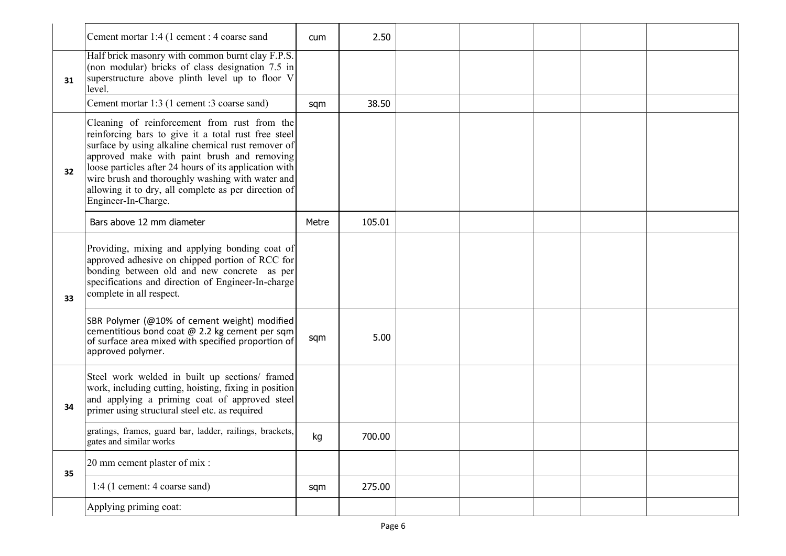|    | Cement mortar 1:4 (1 cement : 4 coarse sand                                                                                                                                                                                                                                                                                                                                                           | cum   | 2.50   |  |  |  |
|----|-------------------------------------------------------------------------------------------------------------------------------------------------------------------------------------------------------------------------------------------------------------------------------------------------------------------------------------------------------------------------------------------------------|-------|--------|--|--|--|
| 31 | Half brick masonry with common burnt clay F.P.S.<br>(non modular) bricks of class designation 7.5 in<br>superstructure above plinth level up to floor V<br>level.                                                                                                                                                                                                                                     |       |        |  |  |  |
|    | Cement mortar 1:3 (1 cement :3 coarse sand)                                                                                                                                                                                                                                                                                                                                                           | sqm   | 38.50  |  |  |  |
| 32 | Cleaning of reinforcement from rust from the<br>reinforcing bars to give it a total rust free steel<br>surface by using alkaline chemical rust remover of<br>approved make with paint brush and removing<br>loose particles after 24 hours of its application with<br>wire brush and thoroughly washing with water and<br>allowing it to dry, all complete as per direction of<br>Engineer-In-Charge. |       |        |  |  |  |
|    | Bars above 12 mm diameter                                                                                                                                                                                                                                                                                                                                                                             | Metre | 105.01 |  |  |  |
| 33 | Providing, mixing and applying bonding coat of<br>approved adhesive on chipped portion of RCC for<br>bonding between old and new concrete as per<br>specifications and direction of Engineer-In-charge<br>complete in all respect.                                                                                                                                                                    |       |        |  |  |  |
|    | SBR Polymer (@10% of cement weight) modified<br>cementitious bond coat @ 2.2 kg cement per sqm<br>of surface area mixed with specified proportion of<br>approved polymer.                                                                                                                                                                                                                             | sqm   | 5.00   |  |  |  |
| 34 | Steel work welded in built up sections/ framed<br>work, including cutting, hoisting, fixing in position<br>and applying a priming coat of approved steel<br>primer using structural steel etc. as required                                                                                                                                                                                            |       |        |  |  |  |
|    | gratings, frames, guard bar, ladder, railings, brackets,<br>gates and similar works                                                                                                                                                                                                                                                                                                                   | kg    | 700.00 |  |  |  |
| 35 | 20 mm cement plaster of mix :                                                                                                                                                                                                                                                                                                                                                                         |       |        |  |  |  |
|    | 1:4 (1 cement: 4 coarse sand)                                                                                                                                                                                                                                                                                                                                                                         | sqm   | 275.00 |  |  |  |
|    | Applying priming coat:                                                                                                                                                                                                                                                                                                                                                                                |       |        |  |  |  |